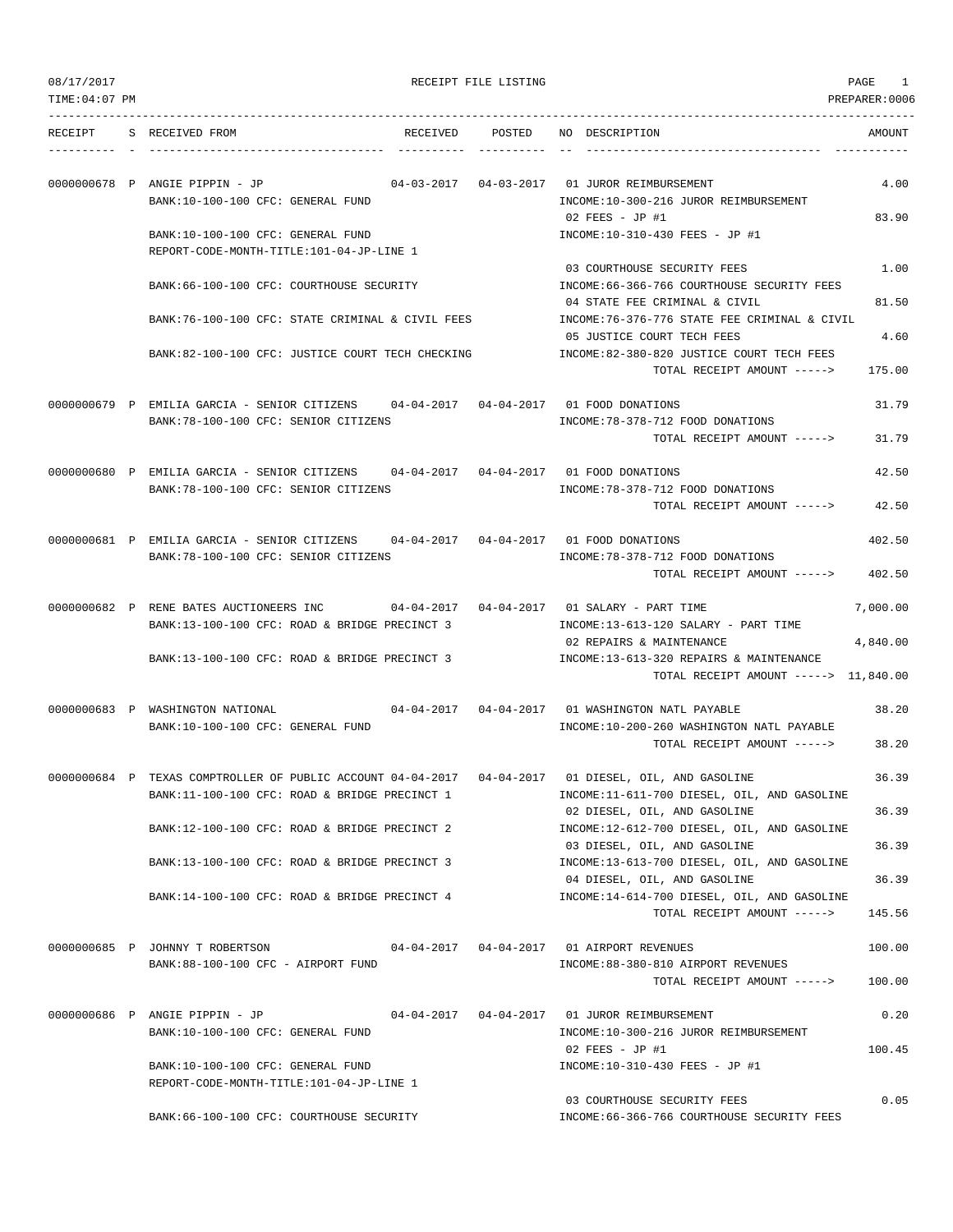|  | 08/17/2017 |  |
|--|------------|--|
|  |            |  |

| 08/17/2017      |                                                                                                                                                      | RECEIPT FILE LISTING |                                                                                                        | PAGE<br>1          |
|-----------------|------------------------------------------------------------------------------------------------------------------------------------------------------|----------------------|--------------------------------------------------------------------------------------------------------|--------------------|
| $TIME:04:07$ PM |                                                                                                                                                      |                      |                                                                                                        | PREPARER: 0006     |
| RECEIPT         | S RECEIVED FROM                                                                                                                                      | RECEIVED POSTED      | NO DESCRIPTION                                                                                         | AMOUNT             |
|                 | 0000000678 P ANGIE PIPPIN - JP<br>BANK:10-100-100 CFC: GENERAL FUND                                                                                  |                      | INCOME:10-300-216 JUROR REIMBURSEMENT                                                                  | 4.00               |
|                 | BANK:10-100-100 CFC: GENERAL FUND<br>REPORT-CODE-MONTH-TITLE:101-04-JP-LINE 1                                                                        |                      | 02 FEES - JP #1<br>INCOME:10-310-430 FEES - JP #1                                                      | 83.90              |
|                 | BANK:66-100-100 CFC: COURTHOUSE SECURITY                                                                                                             |                      | 03 COURTHOUSE SECURITY FEES<br>INCOME:66-366-766 COURTHOUSE SECURITY FEES                              | 1.00               |
|                 | BANK:76-100-100 CFC: STATE CRIMINAL & CIVIL FEES                                                                                                     |                      | 04 STATE FEE CRIMINAL & CIVIL<br>INCOME:76-376-776 STATE FEE CRIMINAL & CIVIL                          | 81.50              |
|                 | BANK:82-100-100 CFC: JUSTICE COURT TECH CHECKING                                                                                                     |                      | 05 JUSTICE COURT TECH FEES<br>INCOME:82-380-820 JUSTICE COURT TECH FEES<br>TOTAL RECEIPT AMOUNT -----> | 4.60<br>175.00     |
|                 | 0000000679 P EMILIA GARCIA - SENIOR CITIZENS 04-04-2017 04-04-2017 01 FOOD DONATIONS                                                                 |                      |                                                                                                        | 31.79              |
|                 | BANK:78-100-100 CFC: SENIOR CITIZENS                                                                                                                 |                      | INCOME: 78-378-712 FOOD DONATIONS<br>TOTAL RECEIPT AMOUNT ----->                                       | 31.79              |
|                 | 0000000680 P EMILIA GARCIA - SENIOR CITIZENS<br>BANK: 78-100-100 CFC: SENIOR CITIZENS                                                                |                      | INCOME: 78-378-712 FOOD DONATIONS                                                                      | 42.50              |
|                 |                                                                                                                                                      |                      | TOTAL RECEIPT AMOUNT ----->                                                                            | 42.50              |
|                 | 0000000681 P EMILIA GARCIA - SENIOR CITIZENS<br>BANK: 78-100-100 CFC: SENIOR CITIZENS                                                                |                      | 04-04-2017  04-04-2017  01  FOOD DONATIONS<br>INCOME: 78-378-712 FOOD DONATIONS                        | 402.50             |
|                 | 0000000682 P RENE BATES AUCTIONEERS INC<br>04-04-2017                                                                                                |                      | TOTAL RECEIPT AMOUNT -----><br>04-04-2017    01 SALARY - PART TIME                                     | 402.50<br>7,000.00 |
|                 | BANK:13-100-100 CFC: ROAD & BRIDGE PRECINCT 3                                                                                                        |                      | INCOME:13-613-120 SALARY - PART TIME<br>02 REPAIRS & MAINTENANCE                                       | 4,840.00           |
|                 | BANK:13-100-100 CFC: ROAD & BRIDGE PRECINCT 3                                                                                                        |                      | INCOME:13-613-320 REPAIRS & MAINTENANCE<br>TOTAL RECEIPT AMOUNT -----> 11,840.00                       |                    |
|                 | 0000000683 P WASHINGTON NATIONAL<br>$04 - 04 - 2017$<br>BANK:10-100-100 CFC: GENERAL FUND                                                            |                      | 04-04-2017 01 WASHINGTON NATL PAYABLE<br>INCOME:10-200-260 WASHINGTON NATL PAYABLE                     | 38.20              |
|                 |                                                                                                                                                      |                      | TOTAL RECEIPT AMOUNT ----->                                                                            | 38.20              |
|                 | 0000000684 P TEXAS COMPTROLLER OF PUBLIC ACCOUNT 04-04-2017 04-04-2017 01 DIESEL, OIL, AND GASOLINE<br>BANK:11-100-100 CFC: ROAD & BRIDGE PRECINCT 1 |                      | INCOME:11-611-700 DIESEL, OIL, AND GASOLINE<br>02 DIESEL, OIL, AND GASOLINE                            | 36.39<br>36.39     |
|                 | BANK:12-100-100 CFC: ROAD & BRIDGE PRECINCT 2                                                                                                        |                      | INCOME:12-612-700 DIESEL, OIL, AND GASOLINE<br>03 DIESEL, OIL, AND GASOLINE                            | 36.39              |
|                 | BANK:13-100-100 CFC: ROAD & BRIDGE PRECINCT 3                                                                                                        |                      | INCOME:13-613-700 DIESEL, OIL, AND GASOLINE<br>04 DIESEL, OIL, AND GASOLINE                            | 36.39              |
|                 | BANK:14-100-100 CFC: ROAD & BRIDGE PRECINCT 4                                                                                                        |                      | INCOME:14-614-700 DIESEL, OIL, AND GASOLINE<br>TOTAL RECEIPT AMOUNT ----->                             | 145.56             |
|                 | 0000000685 P JOHNNY T ROBERTSON<br>BANK:88-100-100 CFC - AIRPORT FUND                                                                                |                      | 04-04-2017  04-04-2017  01 AIRPORT REVENUES<br>INCOME: 88-380-810 AIRPORT REVENUES                     | 100.00             |
|                 |                                                                                                                                                      |                      | TOTAL RECEIPT AMOUNT ----->                                                                            | 100.00             |
|                 | 0000000686 P ANGIE PIPPIN - JP<br>BANK:10-100-100 CFC: GENERAL FUND                                                                                  |                      | 04-04-2017  04-04-2017  01 JUROR REIMBURSEMENT<br>INCOME:10-300-216 JUROR REIMBURSEMENT                | 0.20               |
|                 | BANK:10-100-100 CFC: GENERAL FUND<br>REPORT-CODE-MONTH-TITLE:101-04-JP-LINE 1                                                                        |                      | 02 FEES - JP #1<br>INCOME:10-310-430 FEES - JP #1                                                      | 100.45             |
|                 | BANK:66-100-100 CFC: COURTHOUSE SECURITY                                                                                                             |                      | 03 COURTHOUSE SECURITY FEES<br>INCOME:66-366-766 COURTHOUSE SECURITY FEES                              | 0.05               |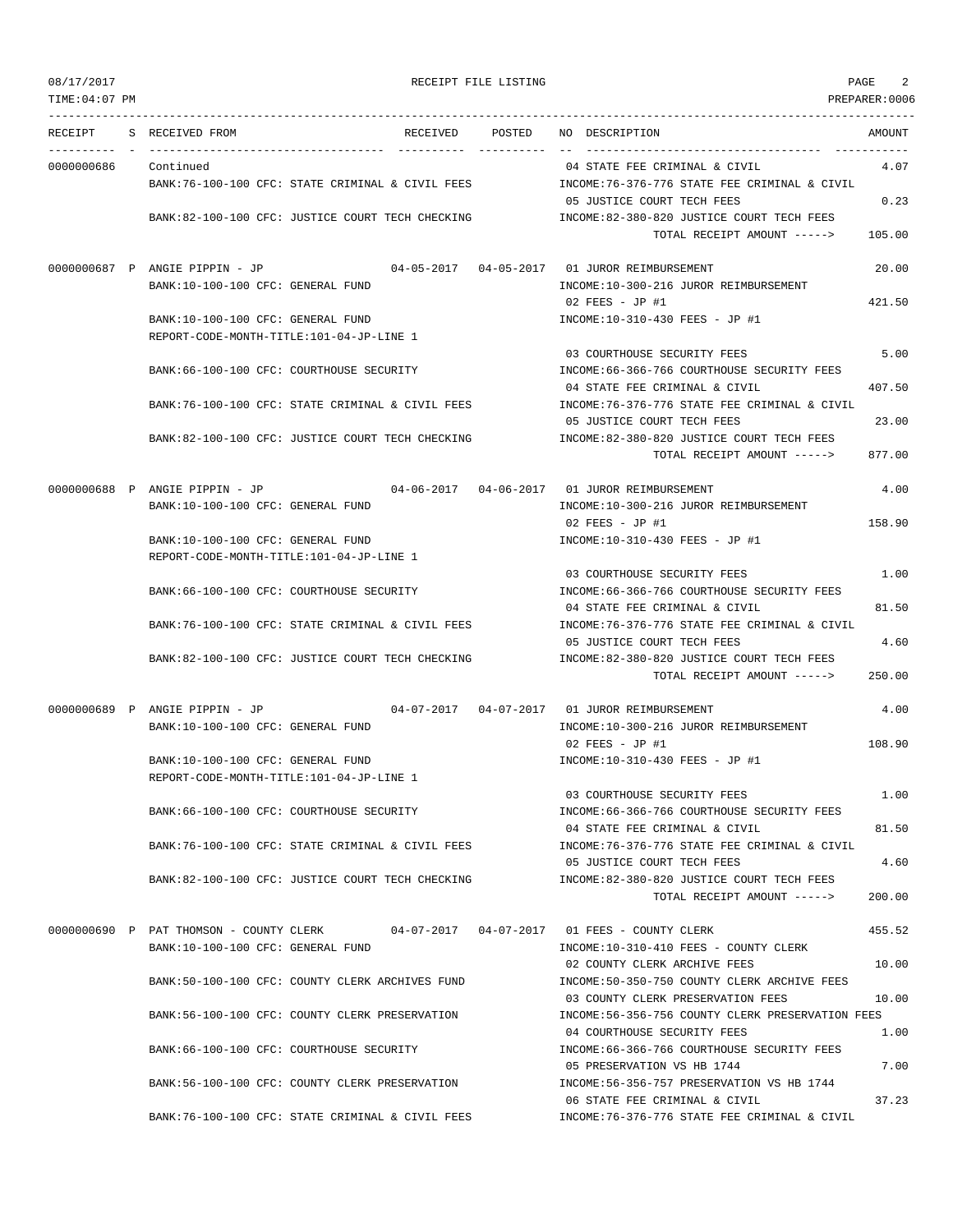| RECEIPT              | S RECEIVED FROM                                                               | RECEIVED                                         | POSTED | NO DESCRIPTION                                                                   | AMOUNT |
|----------------------|-------------------------------------------------------------------------------|--------------------------------------------------|--------|----------------------------------------------------------------------------------|--------|
|                      |                                                                               |                                                  |        |                                                                                  |        |
| 0000000686 Continued |                                                                               | BANK:76-100-100 CFC: STATE CRIMINAL & CIVIL FEES |        | 04 STATE FEE CRIMINAL & CIVIL<br>INCOME:76-376-776 STATE FEE CRIMINAL & CIVIL    | 4.07   |
|                      |                                                                               | BANK:82-100-100 CFC: JUSTICE COURT TECH CHECKING |        | 05 JUSTICE COURT TECH FEES<br>INCOME:82-380-820 JUSTICE COURT TECH FEES          | 0.23   |
|                      |                                                                               |                                                  |        | TOTAL RECEIPT AMOUNT ----->                                                      | 105.00 |
|                      | 0000000687 P ANGIE PIPPIN - JP                                                |                                                  |        | 04-05-2017  04-05-2017  01 JUROR REIMBURSEMENT                                   | 20.00  |
|                      | BANK:10-100-100 CFC: GENERAL FUND                                             |                                                  |        | INCOME:10-300-216 JUROR REIMBURSEMENT<br>$02$ FEES - JP #1                       | 421.50 |
|                      | BANK:10-100-100 CFC: GENERAL FUND                                             |                                                  |        | INCOME:10-310-430 FEES - JP #1                                                   |        |
|                      | REPORT-CODE-MONTH-TITLE:101-04-JP-LINE 1                                      |                                                  |        | 03 COURTHOUSE SECURITY FEES                                                      | 5.00   |
|                      | BANK:66-100-100 CFC: COURTHOUSE SECURITY                                      |                                                  |        | INCOME:66-366-766 COURTHOUSE SECURITY FEES                                       |        |
|                      |                                                                               | BANK:76-100-100 CFC: STATE CRIMINAL & CIVIL FEES |        | 04 STATE FEE CRIMINAL & CIVIL<br>INCOME:76-376-776 STATE FEE CRIMINAL & CIVIL    | 407.50 |
|                      |                                                                               |                                                  |        | 05 JUSTICE COURT TECH FEES                                                       | 23.00  |
|                      |                                                                               | BANK:82-100-100 CFC: JUSTICE COURT TECH CHECKING |        | INCOME:82-380-820 JUSTICE COURT TECH FEES<br>TOTAL RECEIPT AMOUNT ----->         | 877.00 |
|                      | 0000000688 P ANGIE PIPPIN - JP                                                |                                                  |        | 04-06-2017  04-06-2017  01 JUROR REIMBURSEMENT                                   | 4.00   |
|                      | BANK:10-100-100 CFC: GENERAL FUND                                             |                                                  |        | INCOME:10-300-216 JUROR REIMBURSEMENT                                            |        |
|                      |                                                                               |                                                  |        | 02 FEES - JP #1                                                                  | 158.90 |
|                      | BANK:10-100-100 CFC: GENERAL FUND<br>REPORT-CODE-MONTH-TITLE:101-04-JP-LINE 1 |                                                  |        | INCOME:10-310-430 FEES - JP #1                                                   |        |
|                      |                                                                               |                                                  |        | 03 COURTHOUSE SECURITY FEES                                                      | 1.00   |
|                      | BANK:66-100-100 CFC: COURTHOUSE SECURITY                                      |                                                  |        | INCOME: 66-366-766 COURTHOUSE SECURITY FEES<br>04 STATE FEE CRIMINAL & CIVIL     | 81.50  |
|                      |                                                                               | BANK:76-100-100 CFC: STATE CRIMINAL & CIVIL FEES |        | INCOME:76-376-776 STATE FEE CRIMINAL & CIVIL                                     |        |
|                      |                                                                               |                                                  |        | 05 JUSTICE COURT TECH FEES                                                       | 4.60   |
|                      |                                                                               | BANK:82-100-100 CFC: JUSTICE COURT TECH CHECKING |        | INCOME:82-380-820 JUSTICE COURT TECH FEES<br>TOTAL RECEIPT AMOUNT ----->         | 250.00 |
|                      |                                                                               |                                                  |        |                                                                                  |        |
|                      | 0000000689 P ANGIE PIPPIN - JP                                                |                                                  |        |                                                                                  | 4.00   |
|                      | BANK:10-100-100 CFC: GENERAL FUND                                             |                                                  |        | INCOME:10-300-216 JUROR REIMBURSEMENT<br>$02$ FEES - JP #1                       |        |
|                      | BANK:10-100-100 CFC: GENERAL FUND                                             |                                                  |        | INCOME:10-310-430 FEES - JP #1                                                   | 108.90 |
|                      | REPORT-CODE-MONTH-TITLE:101-04-JP-LINE 1                                      |                                                  |        |                                                                                  |        |
|                      |                                                                               |                                                  |        | 03 COURTHOUSE SECURITY FEES                                                      | 1.00   |
|                      | BANK:66-100-100 CFC: COURTHOUSE SECURITY                                      |                                                  |        | INCOME: 66-366-766 COURTHOUSE SECURITY FEES<br>04 STATE FEE CRIMINAL & CIVIL     | 81.50  |
|                      |                                                                               | BANK:76-100-100 CFC: STATE CRIMINAL & CIVIL FEES |        | INCOME: 76-376-776 STATE FEE CRIMINAL & CIVIL                                    |        |
|                      |                                                                               | BANK:82-100-100 CFC: JUSTICE COURT TECH CHECKING |        | 05 JUSTICE COURT TECH FEES<br>INCOME:82-380-820 JUSTICE COURT TECH FEES          | 4.60   |
|                      |                                                                               |                                                  |        | TOTAL RECEIPT AMOUNT ----->                                                      | 200.00 |
|                      | 0000000690 P PAT THOMSON - COUNTY CLERK                                       |                                                  |        | 04-07-2017  04-07-2017  01 FEES - COUNTY CLERK                                   | 455.52 |
|                      | BANK:10-100-100 CFC: GENERAL FUND                                             |                                                  |        | INCOME:10-310-410 FEES - COUNTY CLERK                                            |        |
|                      |                                                                               |                                                  |        | 02 COUNTY CLERK ARCHIVE FEES                                                     | 10.00  |
|                      |                                                                               | BANK:50-100-100 CFC: COUNTY CLERK ARCHIVES FUND  |        | INCOME:50-350-750 COUNTY CLERK ARCHIVE FEES<br>03 COUNTY CLERK PRESERVATION FEES | 10.00  |
|                      |                                                                               | BANK:56-100-100 CFC: COUNTY CLERK PRESERVATION   |        | INCOME: 56-356-756 COUNTY CLERK PRESERVATION FEES                                |        |
|                      |                                                                               |                                                  |        | 04 COURTHOUSE SECURITY FEES                                                      | 1.00   |
|                      | BANK:66-100-100 CFC: COURTHOUSE SECURITY                                      |                                                  |        | INCOME: 66-366-766 COURTHOUSE SECURITY FEES<br>05 PRESERVATION VS HB 1744        | 7.00   |
|                      |                                                                               | BANK:56-100-100 CFC: COUNTY CLERK PRESERVATION   |        | INCOME: 56-356-757 PRESERVATION VS HB 1744                                       |        |
|                      |                                                                               |                                                  |        | 06 STATE FEE CRIMINAL & CIVIL                                                    | 37.23  |
|                      |                                                                               | BANK:76-100-100 CFC: STATE CRIMINAL & CIVIL FEES |        | INCOME: 76-376-776 STATE FEE CRIMINAL & CIVIL                                    |        |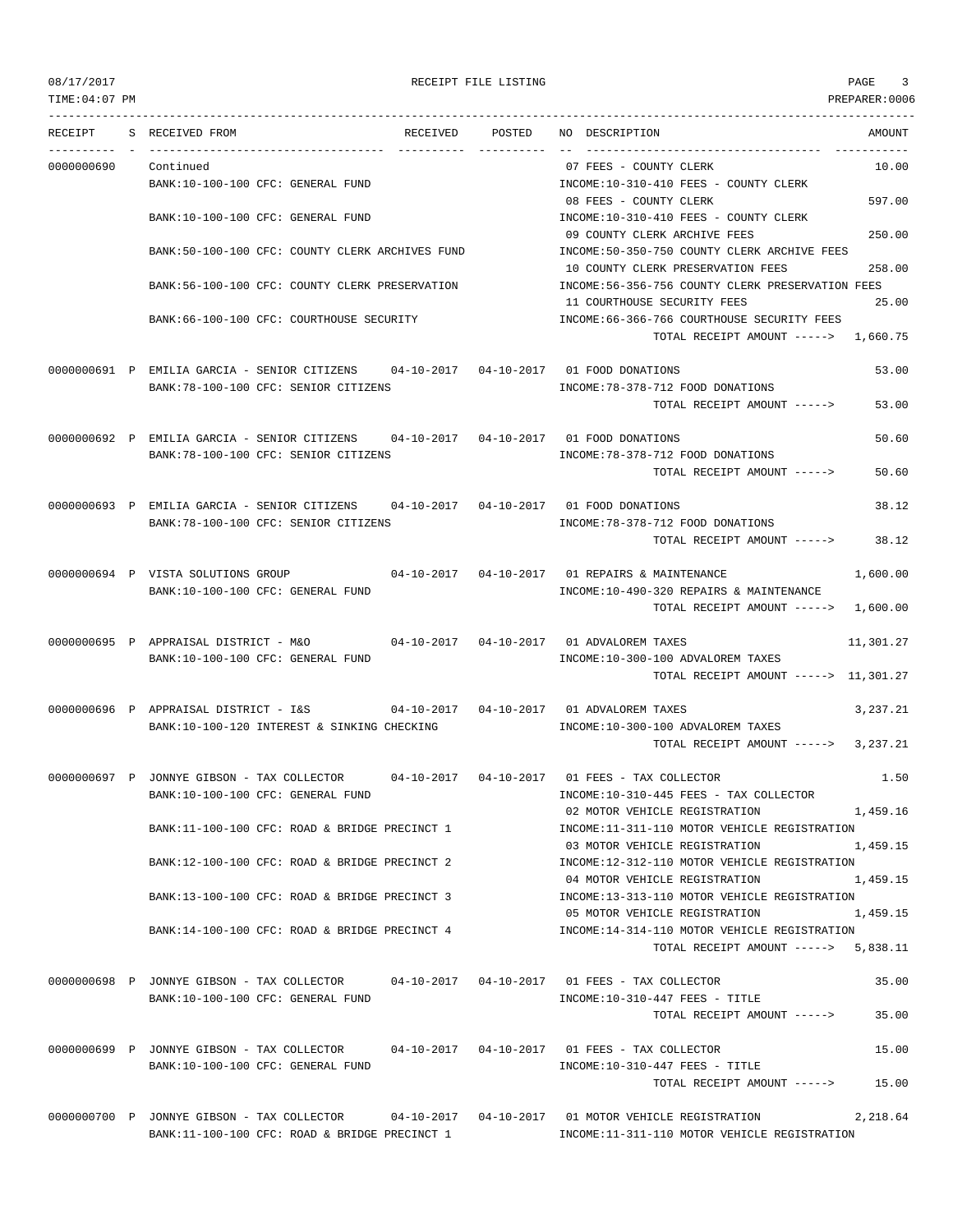TIME:04:07 PM PREPARER:0006 --------------------------------------------------------------------------------------------------------------------------------- RECEIPT S RECEIVED FROM THE RECEIVED POSTED NO DESCRIPTION THE RECEIVED AMOUNT ---------- - ----------------------------------- ---------- ---------- -- ----------------------------------- ----------- 0000000690 Continued 07 FEES - COUNTY CLERK 10.00 BANK:10-100-100 CFC: GENERAL FUND INCOME:10-310-410 FEES - COUNTY CLERK 08 FEES - COUNTY CLERK 597.00 BANK:10-100-100 CFC: GENERAL FUND **INCOME:10-310-410 FEES - COUNTY CLERK** 09 COUNTY CLERK ARCHIVE FEES 250.00 BANK:50-100-100 CFC: COUNTY CLERK ARCHIVES FUND INCOME:50-350-750 COUNTY CLERK ARCHIVE FEES 10 COUNTY CLERK PRESERVATION FEES 258.00 BANK:56-100-100 CFC: COUNTY CLERK PRESERVATION INCOME:56-356-756 COUNTY CLERK PRESERVATION FEES 11 COURTHOUSE SECURITY FEES 25.00 BANK:66-100-100 CFC: COURTHOUSE SECURITY INCOME:66-366-766 COURTHOUSE SECURITY FEES TOTAL RECEIPT AMOUNT -----> 1,660.75 0000000691 P EMILIA GARCIA - SENIOR CITIZENS 04-10-2017 04-10-2017 01 FOOD DONATIONS 53.00 BANK:78-100-100 CFC: SENIOR CITIZENS INCOME:78-378-712 FOOD DONATIONS TOTAL RECEIPT AMOUNT -----> 53.00 0000000692 P EMILIA GARCIA - SENIOR CITIZENS 04-10-2017 04-10-2017 01 FOOD DONATIONS 50.60 BANK:78-100-100 CFC: SENIOR CITIZENS INCOME:78-378-712 FOOD DONATIONS TOTAL RECEIPT AMOUNT -----> 50.60 0000000693 P EMILIA GARCIA - SENIOR CITIZENS 04-10-2017 04-10-2017 01 FOOD DONATIONS 38.12 BANK:78-100-100 CFC: SENIOR CITIZENS INCOME:78-378-712 FOOD DONATIONS TOTAL RECEIPT AMOUNT -----> 38.12 0000000694 P VISTA SOLUTIONS GROUP 04-10-2017 04-10-2017 01 REPAIRS & MAINTENANCE 1,600.00 BANK:10-100-100 CFC: GENERAL FUND INCOME:10-490-320 REPAIRS & MAINTENANCE TOTAL RECEIPT AMOUNT -----> 1,600.00 0000000695 P APPRAISAL DISTRICT - M&O 04-10-2017 04-10-2017 01 ADVALOREM TAXES 11,301.27 BANK:10-100-100 CFC: GENERAL FUND INCOME:10-300-100 ADVALOREM TAXES TOTAL RECEIPT AMOUNT -----> 11,301.27 0000000696 P APPRAISAL DISTRICT - I&S 04-10-2017 04-10-2017 01 ADVALOREM TAXES 3,237.21 BANK:10-100-120 INTEREST & SINKING CHECKING INCOME:10-300-100 ADVALOREM TAXES TOTAL RECEIPT AMOUNT -----> 3,237.21 0000000697 P JONNYE GIBSON - TAX COLLECTOR 04-10-2017 04-10-2017 01 FEES - TAX COLLECTOR 1.50 BANK:10-100-100 CFC: GENERAL FUND INCOME:10-310-445 FEES - TAX COLLECTOR 02 MOTOR VEHICLE REGISTRATION 1,459.16 BANK:11-100-100 CFC: ROAD & BRIDGE PRECINCT 1 INCOME:11-311-110 MOTOR VEHICLE REGISTRATION 03 MOTOR VEHICLE REGISTRATION 1,459.15 BANK:12-100-100 CFC: ROAD & BRIDGE PRECINCT 2 INCOME:12-312-110 MOTOR VEHICLE REGISTRATION 04 MOTOR VEHICLE REGISTRATION 1,459.15 BANK:13-100-100 CFC: ROAD & BRIDGE PRECINCT 3 INCOME:13-313-110 MOTOR VEHICLE REGISTRATION 05 MOTOR VEHICLE REGISTRATION 1.459.15 BANK:14-100-100 CFC: ROAD & BRIDGE PRECINCT 4 INCOME:14-314-110 MOTOR VEHICLE REGISTRATION TOTAL RECEIPT AMOUNT -----> 5,838.11 0000000698 P JONNYE GIBSON - TAX COLLECTOR 04-10-2017 04-10-2017 01 FEES - TAX COLLECTOR 35.00 BANK:10-100-100 CFC: GENERAL FUND INCOME:10-310-447 FEES - TITLE TOTAL RECEIPT AMOUNT -----> 35.00 0000000699 P JONNYE GIBSON - TAX COLLECTOR 04-10-2017 04-10-2017 01 FEES - TAX COLLECTOR 15.00 BANK:10-100-100 CFC: GENERAL FUND SANK:10-310-447 FEES - TITLE TOTAL RECEIPT AMOUNT -----> 15.00

0000000700 P JONNYE GIBSON - TAX COLLECTOR 04-10-2017 04-10-2017 01 MOTOR VEHICLE REGISTRATION 2,218.64 BANK:11-100-100 CFC: ROAD & BRIDGE PRECINCT 1 INCOME:11-311-110 MOTOR VEHICLE REGISTRATION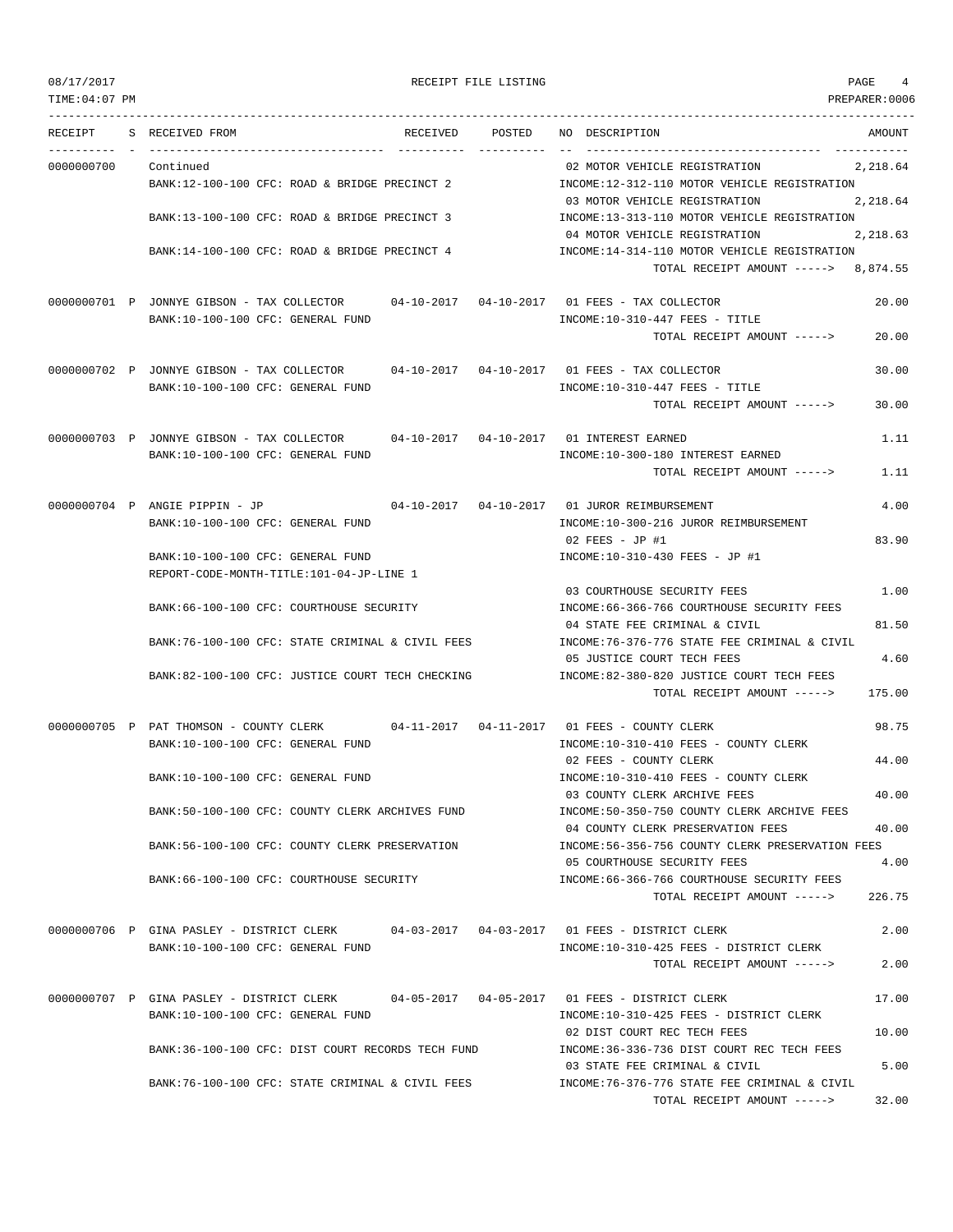PREPARER:0006

|--|

| RECEIPT    | RECEIVED POSTED<br>S RECEIVED FROM                                                                                            | NO DESCRIPTION                                                                                                        | AMOUNT         |
|------------|-------------------------------------------------------------------------------------------------------------------------------|-----------------------------------------------------------------------------------------------------------------------|----------------|
| 0000000700 | Continued<br>BANK:12-100-100 CFC: ROAD & BRIDGE PRECINCT 2                                                                    | 02 MOTOR VEHICLE REGISTRATION<br>INCOME:12-312-110 MOTOR VEHICLE REGISTRATION                                         | 2,218.64       |
|            | BANK:13-100-100 CFC: ROAD & BRIDGE PRECINCT 3                                                                                 | 03 MOTOR VEHICLE REGISTRATION<br>INCOME:13-313-110 MOTOR VEHICLE REGISTRATION                                         | 2,218.64       |
|            | BANK:14-100-100 CFC: ROAD & BRIDGE PRECINCT 4                                                                                 | 04 MOTOR VEHICLE REGISTRATION<br>INCOME:14-314-110 MOTOR VEHICLE REGISTRATION<br>TOTAL RECEIPT AMOUNT -----> 8,874.55 | 2,218.63       |
|            |                                                                                                                               |                                                                                                                       |                |
|            | 0000000701 P JONNYE GIBSON - TAX COLLECTOR 04-10-2017 04-10-2017 01 FEES - TAX COLLECTOR<br>BANK:10-100-100 CFC: GENERAL FUND | $INCOME: 10-310-447$ FEES - TITLE<br>TOTAL RECEIPT AMOUNT ----->                                                      | 20.00<br>20.00 |
|            |                                                                                                                               |                                                                                                                       |                |
|            | 0000000702 P JONNYE GIBSON - TAX COLLECTOR 04-10-2017 04-10-2017 01 FEES - TAX COLLECTOR<br>BANK:10-100-100 CFC: GENERAL FUND | $INCOME:10-310-447$ FEES - TITLE                                                                                      | 30.00          |
|            |                                                                                                                               | TOTAL RECEIPT AMOUNT ----->                                                                                           | 30.00          |
|            | 0000000703 P JONNYE GIBSON - TAX COLLECTOR 04-10-2017 04-10-2017 01 INTEREST EARNED                                           |                                                                                                                       | 1.11           |
|            | BANK:10-100-100 CFC: GENERAL FUND                                                                                             | INCOME:10-300-180 INTEREST EARNED<br>TOTAL RECEIPT AMOUNT ----->                                                      | 1.11           |
|            | 0000000704 P ANGIE PIPPIN - JP 04-10-2017 04-10-2017 01 JUROR REIMBURSEMENT<br>BANK:10-100-100 CFC: GENERAL FUND              | INCOME:10-300-216 JUROR REIMBURSEMENT                                                                                 | 4.00           |
|            |                                                                                                                               | $02$ FEES - JP #1                                                                                                     | 83.90          |
|            | BANK:10-100-100 CFC: GENERAL FUND<br>REPORT-CODE-MONTH-TITLE:101-04-JP-LINE 1                                                 | INCOME:10-310-430 FEES - JP #1                                                                                        |                |
|            | BANK: 66-100-100 CFC: COURTHOUSE SECURITY                                                                                     | 03 COURTHOUSE SECURITY FEES<br>INCOME: 66-366-766 COURTHOUSE SECURITY FEES                                            | 1.00           |
|            | BANK:76-100-100 CFC: STATE CRIMINAL & CIVIL FEES                                                                              | 04 STATE FEE CRIMINAL & CIVIL<br>INCOME:76-376-776 STATE FEE CRIMINAL & CIVIL                                         | 81.50          |
|            |                                                                                                                               | 05 JUSTICE COURT TECH FEES                                                                                            | 4.60           |
|            | BANK:82-100-100 CFC: JUSTICE COURT TECH CHECKING                                                                              | INCOME:82-380-820 JUSTICE COURT TECH FEES<br>TOTAL RECEIPT AMOUNT ----->                                              | 175.00         |
|            | 0000000705 P PAT THOMSON - COUNTY CLERK 04-11-2017 04-11-2017 01 FEES - COUNTY CLERK                                          |                                                                                                                       | 98.75          |
|            | BANK:10-100-100 CFC: GENERAL FUND                                                                                             | INCOME:10-310-410 FEES - COUNTY CLERK<br>02 FEES - COUNTY CLERK                                                       | 44.00          |
|            | BANK:10-100-100 CFC: GENERAL FUND                                                                                             | INCOME:10-310-410 FEES - COUNTY CLERK<br>03 COUNTY CLERK ARCHIVE FEES                                                 | 40.00          |
|            | BANK:50-100-100 CFC: COUNTY CLERK ARCHIVES FUND                                                                               | INCOME: 50-350-750 COUNTY CLERK ARCHIVE FEES<br>04 COUNTY CLERK PRESERVATION FEES                                     | 40.00          |
|            | BANK:56-100-100 CFC: COUNTY CLERK PRESERVATION                                                                                | INCOME:56-356-756 COUNTY CLERK PRESERVATION FEES                                                                      |                |
|            | BANK: 66-100-100 CFC: COURTHOUSE SECURITY                                                                                     | 05 COURTHOUSE SECURITY FEES<br>INCOME: 66-366-766 COURTHOUSE SECURITY FEES                                            | 4.00           |
|            |                                                                                                                               | TOTAL RECEIPT AMOUNT ----->                                                                                           | 226.75         |
|            | 0000000706 P GINA PASLEY - DISTRICT CLERK                                                                                     | 04-03-2017  04-03-2017  01 FEES - DISTRICT CLERK                                                                      | 2.00           |
|            | BANK:10-100-100 CFC: GENERAL FUND                                                                                             | INCOME:10-310-425 FEES - DISTRICT CLERK<br>TOTAL RECEIPT AMOUNT ----->                                                | 2.00           |
|            | 0000000707 P GINA PASLEY - DISTRICT CLERK                                                                                     |                                                                                                                       | 17.00          |
|            | BANK:10-100-100 CFC: GENERAL FUND                                                                                             | INCOME:10-310-425 FEES - DISTRICT CLERK<br>02 DIST COURT REC TECH FEES                                                | 10.00          |
|            | BANK:36-100-100 CFC: DIST COURT RECORDS TECH FUND                                                                             | INCOME: 36-336-736 DIST COURT REC TECH FEES<br>03 STATE FEE CRIMINAL & CIVIL                                          | 5.00           |
|            | BANK:76-100-100 CFC: STATE CRIMINAL & CIVIL FEES                                                                              | INCOME:76-376-776 STATE FEE CRIMINAL & CIVIL<br>TOTAL RECEIPT AMOUNT ----->                                           | 32.00          |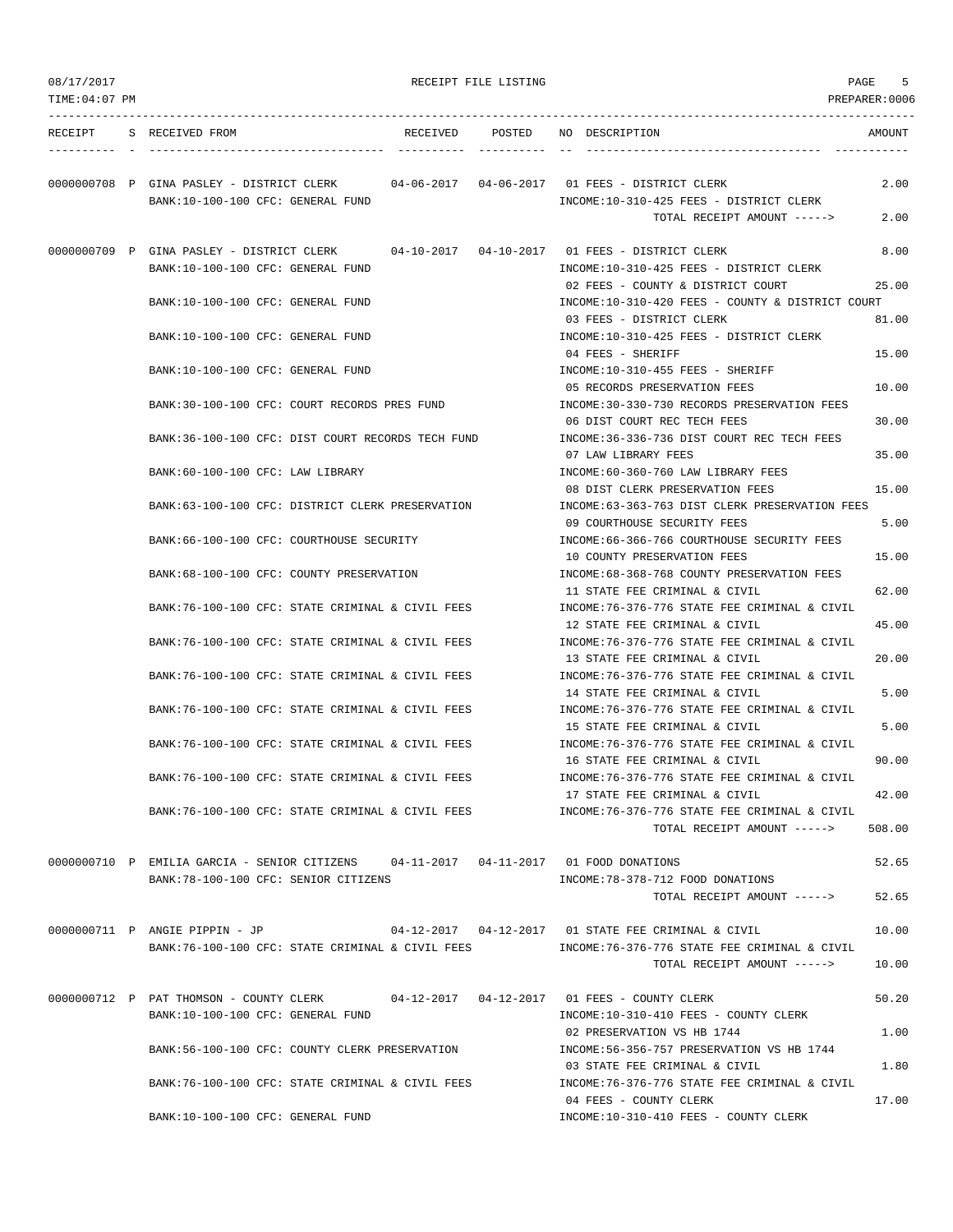| 08/17/2017     |                                                                                                                               |                 | RECEIPT FILE LISTING |                                                                                       | PAGE<br>5      |
|----------------|-------------------------------------------------------------------------------------------------------------------------------|-----------------|----------------------|---------------------------------------------------------------------------------------|----------------|
| TIME: 04:07 PM |                                                                                                                               |                 |                      |                                                                                       | PREPARER: 0006 |
| RECEIPT        | S RECEIVED FROM                                                                                                               | RECEIVED POSTED |                      | NO DESCRIPTION                                                                        | AMOUNT         |
|                | 0000000708 P GINA PASLEY - DISTRICT CLERK 04-06-2017 04-06-2017 01 FEES - DISTRICT CLERK<br>BANK:10-100-100 CFC: GENERAL FUND |                 |                      | INCOME:10-310-425 FEES - DISTRICT CLERK                                               | 2.00           |
|                |                                                                                                                               |                 |                      | TOTAL RECEIPT AMOUNT ----->                                                           | 2.00           |
|                | 0000000709 P GINA PASLEY - DISTRICT CLERK<br>BANK:10-100-100 CFC: GENERAL FUND                                                |                 |                      | INCOME:10-310-425 FEES - DISTRICT CLERK                                               | 8.00           |
|                | BANK:10-100-100 CFC: GENERAL FUND                                                                                             |                 |                      | 02 FEES - COUNTY & DISTRICT COURT<br>INCOME:10-310-420 FEES - COUNTY & DISTRICT COURT | 25.00          |
|                | BANK:10-100-100 CFC: GENERAL FUND                                                                                             |                 |                      | 03 FEES - DISTRICT CLERK<br>INCOME:10-310-425 FEES - DISTRICT CLERK                   | 81.00          |
|                | BANK:10-100-100 CFC: GENERAL FUND                                                                                             |                 |                      | 04 FEES - SHERIFF<br>INCOME:10-310-455 FEES - SHERIFF                                 | 15.00          |
|                | BANK: 30-100-100 CFC: COURT RECORDS PRES FUND                                                                                 |                 |                      | 05 RECORDS PRESERVATION FEES<br>INCOME: 30-330-730 RECORDS PRESERVATION FEES          | 10.00          |
|                | BANK:36-100-100 CFC: DIST COURT RECORDS TECH FUND                                                                             |                 |                      | 06 DIST COURT REC TECH FEES<br>INCOME:36-336-736 DIST COURT REC TECH FEES             | 30.00          |
|                | BANK:60-100-100 CFC: LAW LIBRARY                                                                                              |                 |                      | 07 LAW LIBRARY FEES<br>INCOME: 60-360-760 LAW LIBRARY FEES                            | 35.00          |
|                | BANK:63-100-100 CFC: DISTRICT CLERK PRESERVATION                                                                              |                 |                      | 08 DIST CLERK PRESERVATION FEES<br>INCOME:63-363-763 DIST CLERK PRESERVATION FEES     | 15.00          |
|                | BANK: 66-100-100 CFC: COURTHOUSE SECURITY                                                                                     |                 |                      | 09 COURTHOUSE SECURITY FEES<br>INCOME: 66-366-766 COURTHOUSE SECURITY FEES            | 5.00           |
|                | BANK:68-100-100 CFC: COUNTY PRESERVATION                                                                                      |                 |                      | 10 COUNTY PRESERVATION FEES<br>INCOME: 68-368-768 COUNTY PRESERVATION FEES            | 15.00          |
|                | BANK:76-100-100 CFC: STATE CRIMINAL & CIVIL FEES                                                                              |                 |                      | 11 STATE FEE CRIMINAL & CIVIL<br>INCOME: 76-376-776 STATE FEE CRIMINAL & CIVIL        | 62.00          |
|                | BANK:76-100-100 CFC: STATE CRIMINAL & CIVIL FEES                                                                              |                 |                      | 12 STATE FEE CRIMINAL & CIVIL<br>INCOME:76-376-776 STATE FEE CRIMINAL & CIVIL         | 45.00          |
|                | BANK:76-100-100 CFC: STATE CRIMINAL & CIVIL FEES                                                                              |                 |                      | 13 STATE FEE CRIMINAL & CIVIL<br>INCOME:76-376-776 STATE FEE CRIMINAL & CIVIL         | 20.00          |
|                | BANK:76-100-100 CFC: STATE CRIMINAL & CIVIL FEES                                                                              |                 |                      | 14 STATE FEE CRIMINAL & CIVIL<br>INCOME: 76-376-776 STATE FEE CRIMINAL & CIVIL        | 5.00           |
|                | BANK:76-100-100 CFC: STATE CRIMINAL & CIVIL FEES                                                                              |                 |                      | 15 STATE FEE CRIMINAL & CIVIL<br>INCOME:76-376-776 STATE FEE CRIMINAL & CIVIL         | 5.00           |
|                | BANK:76-100-100 CFC: STATE CRIMINAL & CIVIL FEES                                                                              |                 |                      | 16 STATE FEE CRIMINAL & CIVIL<br>INCOME:76-376-776 STATE FEE CRIMINAL & CIVIL         | 90.00          |
|                | BANK:76-100-100 CFC: STATE CRIMINAL & CIVIL FEES                                                                              |                 |                      | 17 STATE FEE CRIMINAL & CIVIL<br>INCOME:76-376-776 STATE FEE CRIMINAL & CIVIL         | 42.00          |
|                |                                                                                                                               |                 |                      | TOTAL RECEIPT AMOUNT ----->                                                           | 508.00         |
|                | 0000000710 P EMILIA GARCIA - SENIOR CITIZENS 04-11-2017 04-11-2017 01 FOOD DONATIONS<br>BANK:78-100-100 CFC: SENIOR CITIZENS  |                 |                      | INCOME: 78-378-712 FOOD DONATIONS                                                     | 52.65          |
|                |                                                                                                                               |                 |                      | TOTAL RECEIPT AMOUNT ----->                                                           | 52.65          |
|                | 0000000711 P ANGIE PIPPIN - JP<br>BANK:76-100-100 CFC: STATE CRIMINAL & CIVIL FEES                                            |                 |                      | INCOME:76-376-776 STATE FEE CRIMINAL & CIVIL<br>TOTAL RECEIPT AMOUNT ----->           | 10.00<br>10.00 |
|                | 0000000712 P PAT THOMSON - COUNTY CLERK 04-12-2017 04-12-2017 01 FEES - COUNTY CLERK                                          |                 |                      |                                                                                       | 50.20          |
|                | BANK:10-100-100 CFC: GENERAL FUND                                                                                             |                 |                      | INCOME:10-310-410 FEES - COUNTY CLERK<br>02 PRESERVATION VS HB 1744                   | 1.00           |
|                | BANK:56-100-100 CFC: COUNTY CLERK PRESERVATION                                                                                |                 |                      | INCOME: 56-356-757 PRESERVATION VS HB 1744<br>03 STATE FEE CRIMINAL & CIVIL           | 1.80           |
|                | BANK:76-100-100 CFC: STATE CRIMINAL & CIVIL FEES                                                                              |                 |                      | INCOME: 76-376-776 STATE FEE CRIMINAL & CIVIL<br>04 FEES - COUNTY CLERK               | 17.00          |
|                | BANK:10-100-100 CFC: GENERAL FUND                                                                                             |                 |                      | INCOME:10-310-410 FEES - COUNTY CLERK                                                 |                |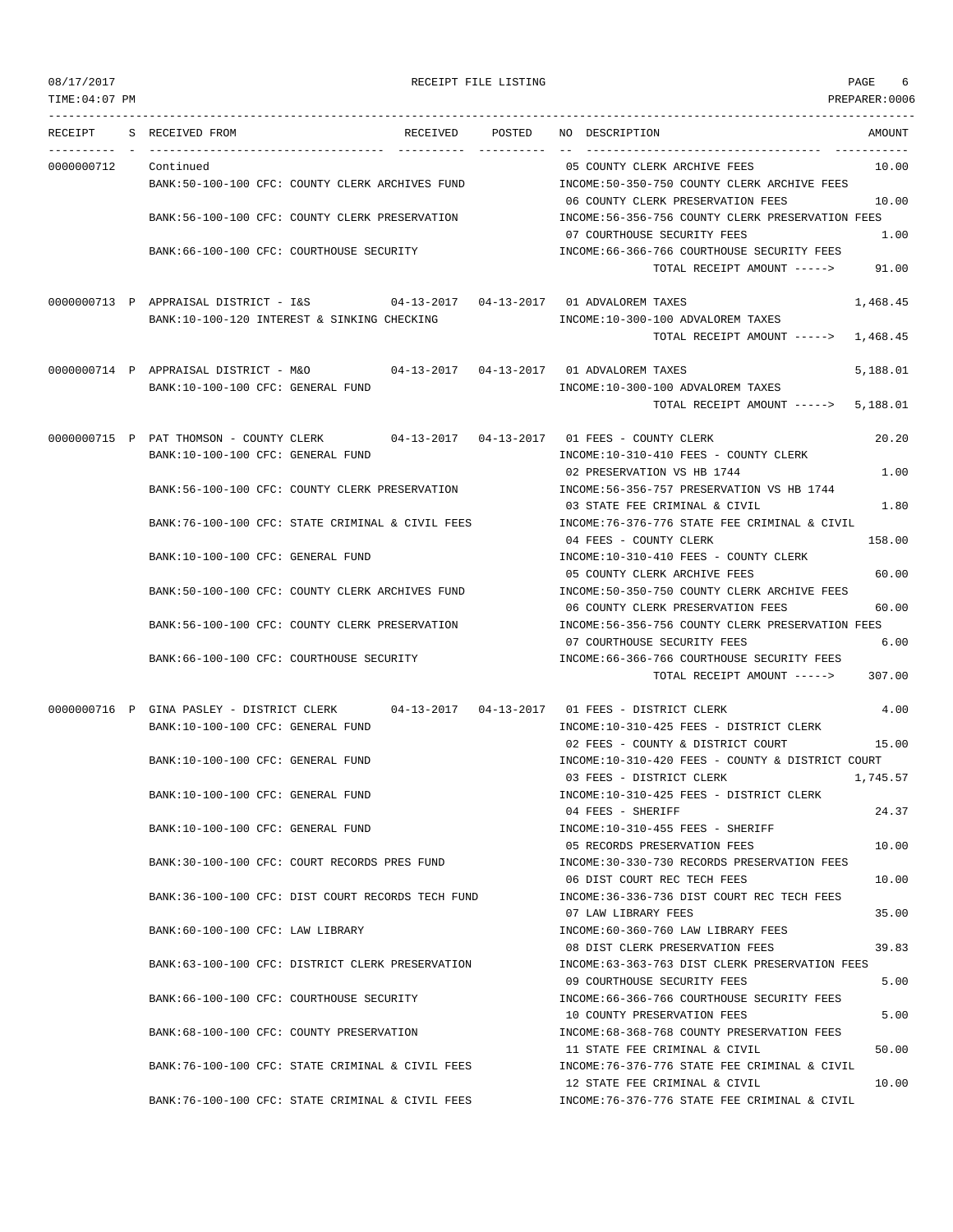| 08/17/2017     | RECEIPT FILE LISTING                                                                 |                                                                                                                | PAGE<br>6            |
|----------------|--------------------------------------------------------------------------------------|----------------------------------------------------------------------------------------------------------------|----------------------|
| TIME: 04:07 PM |                                                                                      |                                                                                                                | PREPARER:0006        |
| RECEIPT        | S RECEIVED FROM<br>RECEIVED POSTED                                                   | NO DESCRIPTION                                                                                                 | AMOUNT               |
| 0000000712     | Continued                                                                            | 05 COUNTY CLERK ARCHIVE FEES                                                                                   | 10.00                |
|                | BANK:50-100-100 CFC: COUNTY CLERK ARCHIVES FUND                                      | INCOME:50-350-750 COUNTY CLERK ARCHIVE FEES<br>06 COUNTY CLERK PRESERVATION FEES                               | 10.00                |
|                | BANK:56-100-100 CFC: COUNTY CLERK PRESERVATION                                       | INCOME:56-356-756 COUNTY CLERK PRESERVATION FEES<br>07 COURTHOUSE SECURITY FEES                                | 1.00                 |
|                | BANK:66-100-100 CFC: COURTHOUSE SECURITY                                             | INCOME: 66-366-766 COURTHOUSE SECURITY FEES<br>TOTAL RECEIPT AMOUNT ----->                                     | 91.00                |
|                | 0000000713 P APPRAISAL DISTRICT - I&S<br>BANK:10-100-120 INTEREST & SINKING CHECKING | INCOME:10-300-100 ADVALOREM TAXES<br>TOTAL RECEIPT AMOUNT ----->                                               | 1,468.45<br>1,468.45 |
|                |                                                                                      |                                                                                                                |                      |
|                | 0000000714 P APPRAISAL DISTRICT - M&O<br>BANK:10-100-100 CFC: GENERAL FUND           | 04-13-2017  04-13-2017  01 ADVALOREM TAXES<br>INCOME:10-300-100 ADVALOREM TAXES<br>TOTAL RECEIPT AMOUNT -----> | 5,188.01<br>5,188.01 |
|                | 0000000715 P PAT THOMSON - COUNTY CLERK<br>$04-13-2017$ $04-13-2017$                 | 01 FEES - COUNTY CLERK                                                                                         | 20.20                |
|                | BANK:10-100-100 CFC: GENERAL FUND                                                    | INCOME:10-310-410 FEES - COUNTY CLERK                                                                          |                      |
|                |                                                                                      | 02 PRESERVATION VS HB 1744                                                                                     | 1.00                 |
|                | BANK:56-100-100 CFC: COUNTY CLERK PRESERVATION                                       | INCOME: 56-356-757 PRESERVATION VS HB 1744<br>03 STATE FEE CRIMINAL & CIVIL                                    | 1.80                 |
|                | BANK:76-100-100 CFC: STATE CRIMINAL & CIVIL FEES                                     | INCOME: 76-376-776 STATE FEE CRIMINAL & CIVIL<br>04 FEES - COUNTY CLERK                                        | 158.00               |
|                | BANK:10-100-100 CFC: GENERAL FUND                                                    | INCOME:10-310-410 FEES - COUNTY CLERK                                                                          |                      |
|                | BANK:50-100-100 CFC: COUNTY CLERK ARCHIVES FUND                                      | 05 COUNTY CLERK ARCHIVE FEES<br>INCOME: 50-350-750 COUNTY CLERK ARCHIVE FEES                                   | 60.00                |
|                |                                                                                      | 06 COUNTY CLERK PRESERVATION FEES                                                                              | 60.00                |
|                | BANK:56-100-100 CFC: COUNTY CLERK PRESERVATION                                       | INCOME: 56-356-756 COUNTY CLERK PRESERVATION FEES<br>07 COURTHOUSE SECURITY FEES                               | 6.00                 |
|                | BANK:66-100-100 CFC: COURTHOUSE SECURITY                                             | INCOME: 66-366-766 COURTHOUSE SECURITY FEES<br>TOTAL RECEIPT AMOUNT ----->                                     | 307.00               |
|                |                                                                                      |                                                                                                                |                      |
|                | 0000000716 P GINA PASLEY - DISTRICT CLERK                                            | 04-13-2017   04-13-2017   01   FEES - DISTRICT CLERK                                                           | 4.00                 |
|                | BANK:10-100-100 CFC: GENERAL FUND                                                    | INCOME:10-310-425 FEES - DISTRICT CLERK<br>02 FEES - COUNTY & DISTRICT COURT                                   | 15.00                |
|                | BANK:10-100-100 CFC: GENERAL FUND                                                    | INCOME:10-310-420 FEES - COUNTY & DISTRICT COURT                                                               |                      |
|                | BANK:10-100-100 CFC: GENERAL FUND                                                    | 03 FEES - DISTRICT CLERK<br>INCOME:10-310-425 FEES - DISTRICT CLERK                                            | 1,745.57             |
|                |                                                                                      | 04 FEES - SHERIFF                                                                                              | 24.37                |
|                | BANK:10-100-100 CFC: GENERAL FUND                                                    | INCOME:10-310-455 FEES - SHERIFF<br>05 RECORDS PRESERVATION FEES                                               | 10.00                |
|                | BANK:30-100-100 CFC: COURT RECORDS PRES FUND                                         | INCOME: 30-330-730 RECORDS PRESERVATION FEES<br>06 DIST COURT REC TECH FEES                                    | 10.00                |
|                | BANK:36-100-100 CFC: DIST COURT RECORDS TECH FUND                                    | INCOME: 36-336-736 DIST COURT REC TECH FEES                                                                    |                      |
|                | BANK:60-100-100 CFC: LAW LIBRARY                                                     | 07 LAW LIBRARY FEES<br>INCOME:60-360-760 LAW LIBRARY FEES                                                      | 35.00                |
|                |                                                                                      | 08 DIST CLERK PRESERVATION FEES                                                                                | 39.83                |
|                | BANK:63-100-100 CFC: DISTRICT CLERK PRESERVATION                                     | INCOME: 63-363-763 DIST CLERK PRESERVATION FEES<br>09 COURTHOUSE SECURITY FEES                                 | 5.00                 |
|                | BANK: 66-100-100 CFC: COURTHOUSE SECURITY                                            | INCOME:66-366-766 COURTHOUSE SECURITY FEES<br>10 COUNTY PRESERVATION FEES                                      | 5.00                 |
|                | BANK:68-100-100 CFC: COUNTY PRESERVATION                                             | INCOME: 68-368-768 COUNTY PRESERVATION FEES<br>11 STATE FEE CRIMINAL & CIVIL                                   | 50.00                |
|                | BANK:76-100-100 CFC: STATE CRIMINAL & CIVIL FEES                                     | INCOME: 76-376-776 STATE FEE CRIMINAL & CIVIL<br>12 STATE FEE CRIMINAL & CIVIL                                 | 10.00                |
|                | BANK:76-100-100 CFC: STATE CRIMINAL & CIVIL FEES                                     | INCOME: 76-376-776 STATE FEE CRIMINAL & CIVIL                                                                  |                      |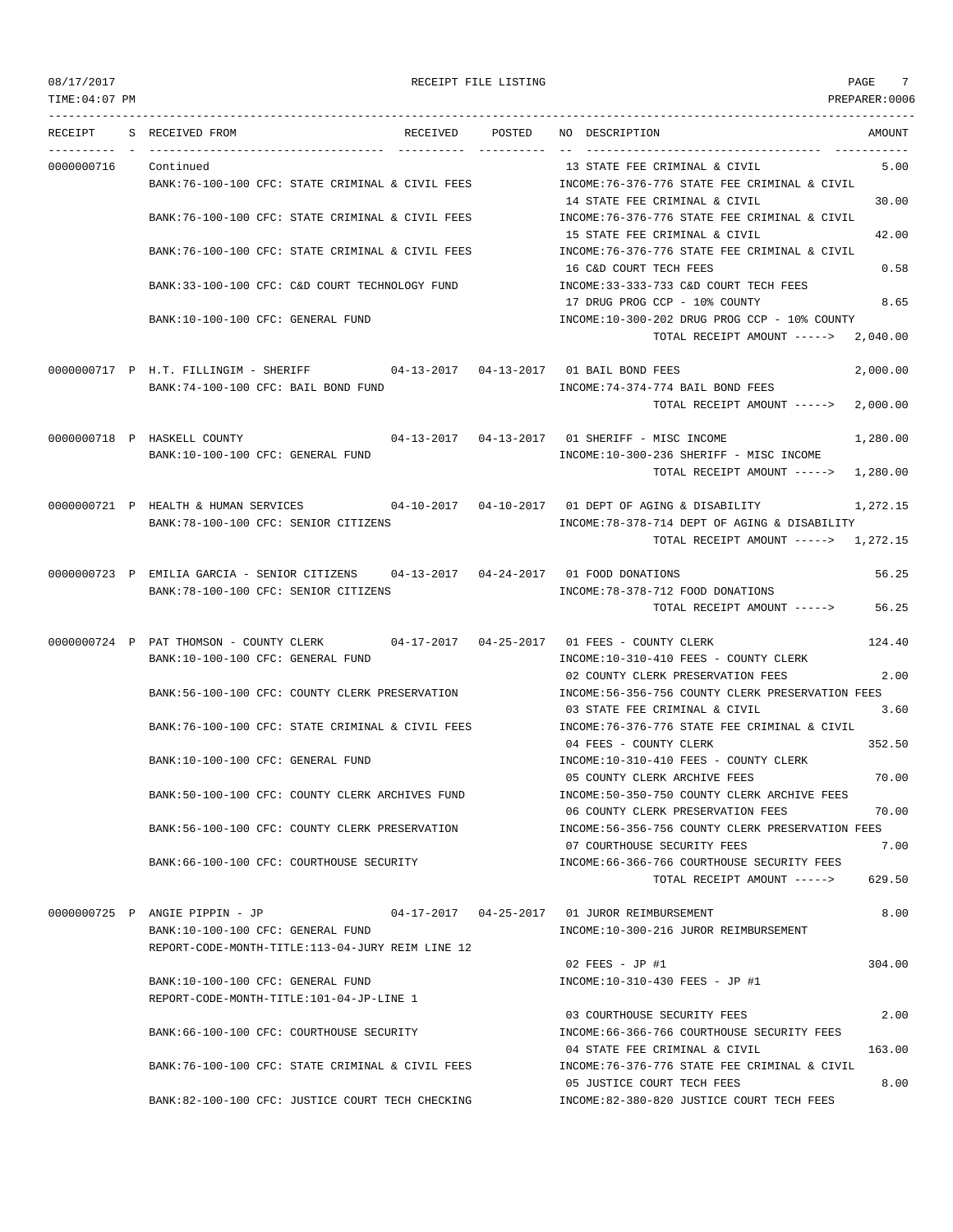| TIME:04:07 PM |                                          |                                                                                          |          |             |                                                                                                          | PREPARER:0006 |
|---------------|------------------------------------------|------------------------------------------------------------------------------------------|----------|-------------|----------------------------------------------------------------------------------------------------------|---------------|
| RECEIPT       |                                          | S RECEIVED FROM                                                                          | RECEIVED | POSTED      | NO DESCRIPTION                                                                                           | AMOUNT        |
| 0000000716    |                                          | ----------------<br>Continued                                                            |          | ----------- | 13 STATE FEE CRIMINAL & CIVIL                                                                            | 5.00          |
|               |                                          | BANK:76-100-100 CFC: STATE CRIMINAL & CIVIL FEES                                         |          |             | INCOME:76-376-776 STATE FEE CRIMINAL & CIVIL                                                             |               |
|               |                                          | BANK:76-100-100 CFC: STATE CRIMINAL & CIVIL FEES                                         |          |             | 14 STATE FEE CRIMINAL & CIVIL<br>INCOME:76-376-776 STATE FEE CRIMINAL & CIVIL                            | 30.00         |
|               |                                          | BANK: 76-100-100 CFC: STATE CRIMINAL & CIVIL FEES                                        |          |             | 15 STATE FEE CRIMINAL & CIVIL<br>INCOME: 76-376-776 STATE FEE CRIMINAL & CIVIL<br>16 C&D COURT TECH FEES | 42.00<br>0.58 |
|               |                                          | BANK:33-100-100 CFC: C&D COURT TECHNOLOGY FUND                                           |          |             | INCOME: 33-333-733 C&D COURT TECH FEES<br>17 DRUG PROG CCP - 10% COUNTY                                  | 8.65          |
|               |                                          | BANK:10-100-100 CFC: GENERAL FUND                                                        |          |             | INCOME:10-300-202 DRUG PROG CCP - 10% COUNTY<br>TOTAL RECEIPT AMOUNT -----> 2,040.00                     |               |
|               |                                          | 0000000717 P H.T. FILLINGIM - SHERIFF 04-13-2017 04-13-2017 01 BAIL BOND FEES            |          |             |                                                                                                          | 2,000.00      |
|               |                                          | BANK:74-100-100 CFC: BAIL BOND FUND                                                      |          |             | INCOME: 74-374-774 BAIL BOND FEES                                                                        |               |
|               |                                          |                                                                                          |          |             | TOTAL RECEIPT AMOUNT ----->                                                                              | 2,000.00      |
|               |                                          | 0000000718 P HASKELL COUNTY                                                              |          |             | 04-13-2017  04-13-2017  01 SHERIFF - MISC INCOME                                                         | 1,280.00      |
|               |                                          | BANK:10-100-100 CFC: GENERAL FUND                                                        |          |             | INCOME:10-300-236 SHERIFF - MISC INCOME                                                                  |               |
|               |                                          |                                                                                          |          |             | TOTAL RECEIPT AMOUNT ----->                                                                              | 1,280.00      |
|               |                                          | 0000000721 P HEALTH & HUMAN SERVICES 04-10-2017 04-10-2017 01 DEPT OF AGING & DISABILITY |          |             |                                                                                                          | 1,272.15      |
|               |                                          | BANK:78-100-100 CFC: SENIOR CITIZENS                                                     |          |             | INCOME: 78-378-714 DEPT OF AGING & DISABILITY                                                            |               |
|               |                                          |                                                                                          |          |             | TOTAL RECEIPT AMOUNT $--- $ 1,272.15                                                                     |               |
|               |                                          | 0000000723 P EMILIA GARCIA - SENIOR CITIZENS 04-13-2017 04-24-2017 01 FOOD DONATIONS     |          |             |                                                                                                          | 56.25         |
|               |                                          | BANK: 78-100-100 CFC: SENIOR CITIZENS                                                    |          |             | INCOME: 78-378-712 FOOD DONATIONS                                                                        |               |
|               |                                          |                                                                                          |          |             | TOTAL RECEIPT AMOUNT ----->                                                                              | 56.25         |
|               |                                          | 0000000724 P PAT THOMSON - COUNTY CLERK 04-17-2017 04-25-2017 01 FEES - COUNTY CLERK     |          |             |                                                                                                          | 124.40        |
|               |                                          | BANK:10-100-100 CFC: GENERAL FUND                                                        |          |             | INCOME:10-310-410 FEES - COUNTY CLERK                                                                    |               |
|               |                                          | BANK:56-100-100 CFC: COUNTY CLERK PRESERVATION                                           |          |             | 02 COUNTY CLERK PRESERVATION FEES<br>INCOME: 56-356-756 COUNTY CLERK PRESERVATION FEES                   | 2.00          |
|               |                                          |                                                                                          |          |             | 03 STATE FEE CRIMINAL & CIVIL                                                                            | 3.60          |
|               |                                          | BANK:76-100-100 CFC: STATE CRIMINAL & CIVIL FEES                                         |          |             | INCOME:76-376-776 STATE FEE CRIMINAL & CIVIL                                                             |               |
|               |                                          | BANK:10-100-100 CFC: GENERAL FUND                                                        |          |             | 04 FEES - COUNTY CLERK<br>INCOME:10-310-410 FEES - COUNTY CLERK                                          | 352.50        |
|               |                                          |                                                                                          |          |             | 05 COUNTY CLERK ARCHIVE FEES                                                                             | 70.00         |
|               |                                          | BANK:50-100-100 CFC: COUNTY CLERK ARCHIVES FUND                                          |          |             | INCOME:50-350-750 COUNTY CLERK ARCHIVE FEES                                                              |               |
|               |                                          | BANK:56-100-100 CFC: COUNTY CLERK PRESERVATION                                           |          |             | 06 COUNTY CLERK PRESERVATION FEES<br>INCOME: 56-356-756 COUNTY CLERK PRESERVATION FEES                   | 70.00         |
|               |                                          |                                                                                          |          |             | 07 COURTHOUSE SECURITY FEES                                                                              | 7.00          |
|               |                                          | BANK:66-100-100 CFC: COURTHOUSE SECURITY                                                 |          |             | INCOME:66-366-766 COURTHOUSE SECURITY FEES                                                               |               |
|               |                                          |                                                                                          |          |             | TOTAL RECEIPT AMOUNT ----->                                                                              | 629.50        |
|               |                                          | 0000000725 P ANGIE PIPPIN - JP                                                           |          |             |                                                                                                          | 8.00          |
|               |                                          | BANK:10-100-100 CFC: GENERAL FUND                                                        |          |             | INCOME:10-300-216 JUROR REIMBURSEMENT                                                                    |               |
|               |                                          | REPORT-CODE-MONTH-TITLE:113-04-JURY REIM LINE 12                                         |          |             | 02 FEES - JP #1                                                                                          | 304.00        |
|               |                                          | BANK:10-100-100 CFC: GENERAL FUND                                                        |          |             | INCOME:10-310-430 FEES - JP #1                                                                           |               |
|               | REPORT-CODE-MONTH-TITLE:101-04-JP-LINE 1 |                                                                                          |          |             |                                                                                                          |               |
|               |                                          |                                                                                          |          |             | 03 COURTHOUSE SECURITY FEES                                                                              | 2.00          |
|               |                                          | BANK:66-100-100 CFC: COURTHOUSE SECURITY                                                 |          |             | INCOME:66-366-766 COURTHOUSE SECURITY FEES<br>04 STATE FEE CRIMINAL & CIVIL                              | 163.00        |
|               |                                          | BANK:76-100-100 CFC: STATE CRIMINAL & CIVIL FEES                                         |          |             | INCOME: 76-376-776 STATE FEE CRIMINAL & CIVIL                                                            |               |
|               |                                          |                                                                                          |          |             | 05 JUSTICE COURT TECH FEES                                                                               | 8.00          |
|               |                                          | BANK:82-100-100 CFC: JUSTICE COURT TECH CHECKING                                         |          |             | INCOME:82-380-820 JUSTICE COURT TECH FEES                                                                |               |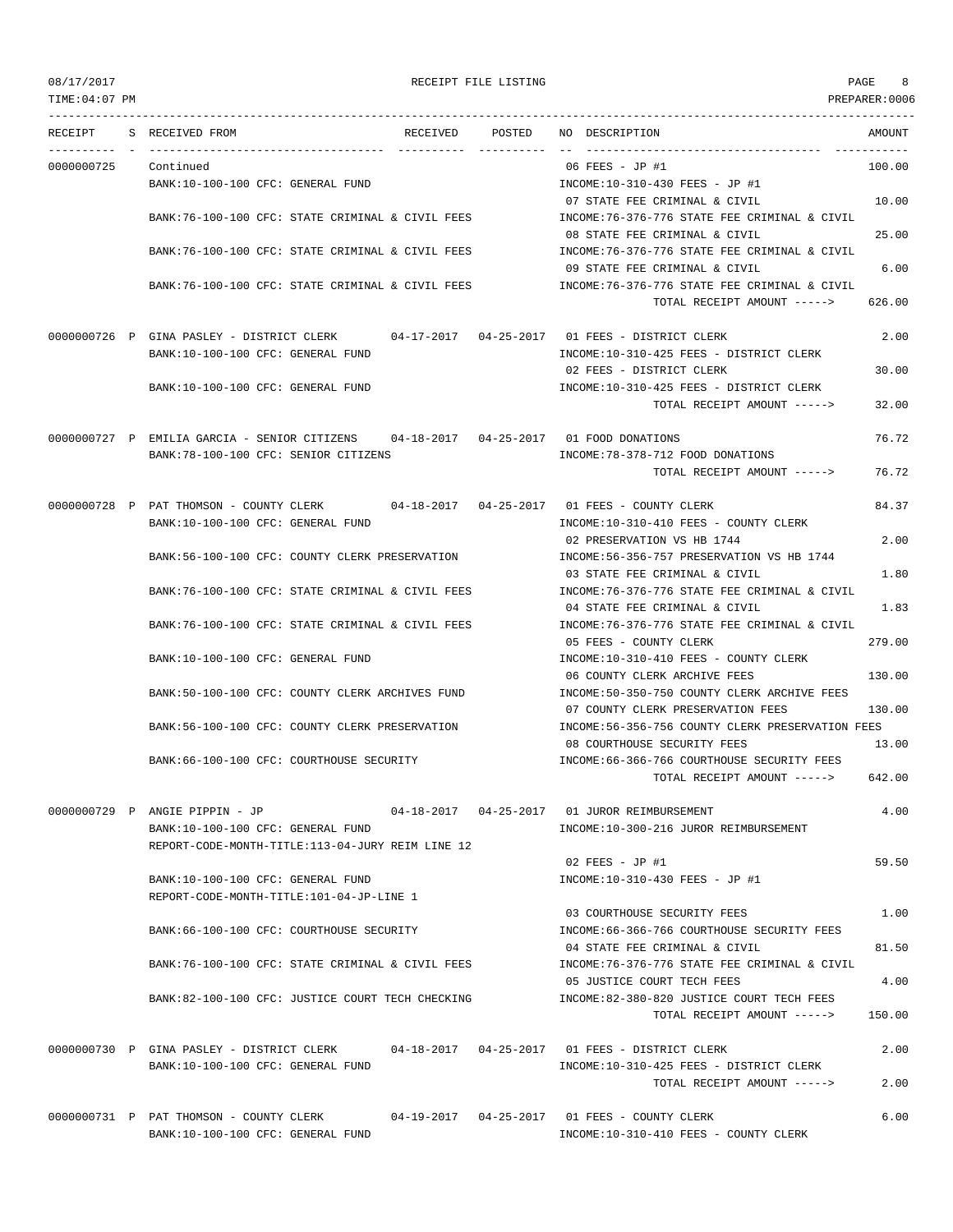| TIME:04:07 PM |                                                                                      |        |                                                                                   | PREPARER:0006 |
|---------------|--------------------------------------------------------------------------------------|--------|-----------------------------------------------------------------------------------|---------------|
| RECEIPT       | S RECEIVED FROM<br>RECEIVED                                                          | POSTED | NO DESCRIPTION<br>---------------------------------                               | AMOUNT        |
| 0000000725    | Continued                                                                            |        | 06 FEES - JP #1                                                                   | 100.00        |
|               | BANK:10-100-100 CFC: GENERAL FUND                                                    |        | INCOME:10-310-430 FEES - JP #1                                                    |               |
|               |                                                                                      |        | 07 STATE FEE CRIMINAL & CIVIL                                                     | 10.00         |
|               | BANK:76-100-100 CFC: STATE CRIMINAL & CIVIL FEES                                     |        | INCOME:76-376-776 STATE FEE CRIMINAL & CIVIL                                      |               |
|               |                                                                                      |        | 08 STATE FEE CRIMINAL & CIVIL                                                     | 25.00         |
|               | BANK:76-100-100 CFC: STATE CRIMINAL & CIVIL FEES                                     |        | INCOME: 76-376-776 STATE FEE CRIMINAL & CIVIL                                     |               |
|               | BANK:76-100-100 CFC: STATE CRIMINAL & CIVIL FEES                                     |        | 09 STATE FEE CRIMINAL & CIVIL<br>INCOME: 76-376-776 STATE FEE CRIMINAL & CIVIL    | 6.00          |
|               |                                                                                      |        | TOTAL RECEIPT AMOUNT ----->                                                       | 626.00        |
|               | 0000000726 P GINA PASLEY - DISTRICT CLERK                                            |        |                                                                                   | 2.00          |
|               | BANK:10-100-100 CFC: GENERAL FUND                                                    |        | INCOME:10-310-425 FEES - DISTRICT CLERK                                           |               |
|               |                                                                                      |        | 02 FEES - DISTRICT CLERK                                                          | 30.00         |
|               | BANK:10-100-100 CFC: GENERAL FUND                                                    |        | INCOME:10-310-425 FEES - DISTRICT CLERK                                           |               |
|               |                                                                                      |        | TOTAL RECEIPT AMOUNT ----->                                                       | 32.00         |
|               | 0000000727 P EMILIA GARCIA - SENIOR CITIZENS 04-18-2017 04-25-2017 01 FOOD DONATIONS |        |                                                                                   | 76.72         |
|               | BANK:78-100-100 CFC: SENIOR CITIZENS                                                 |        | INCOME: 78-378-712 FOOD DONATIONS                                                 |               |
|               |                                                                                      |        | TOTAL RECEIPT AMOUNT ----->                                                       | 76.72         |
|               | 0000000728 P PAT THOMSON - COUNTY CLERK 04-18-2017 04-25-2017 01 FEES - COUNTY CLERK |        |                                                                                   | 84.37         |
|               | BANK:10-100-100 CFC: GENERAL FUND                                                    |        | INCOME:10-310-410 FEES - COUNTY CLERK                                             |               |
|               |                                                                                      |        | 02 PRESERVATION VS HB 1744                                                        | 2.00          |
|               | BANK:56-100-100 CFC: COUNTY CLERK PRESERVATION                                       |        | INCOME: 56-356-757 PRESERVATION VS HB 1744                                        |               |
|               |                                                                                      |        | 03 STATE FEE CRIMINAL & CIVIL                                                     | 1.80          |
|               | BANK:76-100-100 CFC: STATE CRIMINAL & CIVIL FEES                                     |        | INCOME:76-376-776 STATE FEE CRIMINAL & CIVIL<br>04 STATE FEE CRIMINAL & CIVIL     | 1.83          |
|               | BANK:76-100-100 CFC: STATE CRIMINAL & CIVIL FEES                                     |        | INCOME: 76-376-776 STATE FEE CRIMINAL & CIVIL                                     |               |
|               |                                                                                      |        | 05 FEES - COUNTY CLERK                                                            | 279.00        |
|               | BANK:10-100-100 CFC: GENERAL FUND                                                    |        | INCOME:10-310-410 FEES - COUNTY CLERK                                             |               |
|               |                                                                                      |        | 06 COUNTY CLERK ARCHIVE FEES                                                      | 130.00        |
|               | BANK:50-100-100 CFC: COUNTY CLERK ARCHIVES FUND                                      |        | INCOME: 50-350-750 COUNTY CLERK ARCHIVE FEES<br>07 COUNTY CLERK PRESERVATION FEES | 130.00        |
|               | BANK:56-100-100 CFC: COUNTY CLERK PRESERVATION                                       |        | INCOME:56-356-756 COUNTY CLERK PRESERVATION FEES                                  |               |
|               |                                                                                      |        | 08 COURTHOUSE SECURITY FEES                                                       | 13.00         |
|               | BANK: 66-100-100 CFC: COURTHOUSE SECURITY                                            |        | INCOME:66-366-766 COURTHOUSE SECURITY FEES                                        |               |
|               |                                                                                      |        | TOTAL RECEIPT AMOUNT ----->                                                       | 642.00        |
|               | 0000000729 P ANGIE PIPPIN - JP                                                       |        |                                                                                   | 4.00          |
|               | BANK:10-100-100 CFC: GENERAL FUND                                                    |        | INCOME:10-300-216 JUROR REIMBURSEMENT                                             |               |
|               | REPORT-CODE-MONTH-TITLE:113-04-JURY REIM LINE 12                                     |        |                                                                                   |               |
|               |                                                                                      |        | 02 FEES - JP #1                                                                   | 59.50         |
|               | BANK:10-100-100 CFC: GENERAL FUND<br>REPORT-CODE-MONTH-TITLE:101-04-JP-LINE 1        |        | INCOME:10-310-430 FEES - JP #1                                                    |               |
|               |                                                                                      |        | 03 COURTHOUSE SECURITY FEES                                                       | 1.00          |
|               | BANK:66-100-100 CFC: COURTHOUSE SECURITY                                             |        | INCOME: 66-366-766 COURTHOUSE SECURITY FEES                                       |               |
|               |                                                                                      |        | 04 STATE FEE CRIMINAL & CIVIL                                                     | 81.50         |
|               | BANK:76-100-100 CFC: STATE CRIMINAL & CIVIL FEES                                     |        | INCOME:76-376-776 STATE FEE CRIMINAL & CIVIL                                      |               |
|               |                                                                                      |        | 05 JUSTICE COURT TECH FEES<br>INCOME:82-380-820 JUSTICE COURT TECH FEES           | 4.00          |
|               | BANK:82-100-100 CFC: JUSTICE COURT TECH CHECKING                                     |        | TOTAL RECEIPT AMOUNT ----->                                                       | 150.00        |
|               |                                                                                      |        |                                                                                   |               |
|               | 0000000730 P GINA PASLEY - DISTRICT CLERK                                            |        |                                                                                   | 2.00          |
|               | BANK:10-100-100 CFC: GENERAL FUND                                                    |        | INCOME:10-310-425 FEES - DISTRICT CLERK                                           |               |
|               |                                                                                      |        | TOTAL RECEIPT AMOUNT ----->                                                       | 2.00          |
|               | 0000000731 P PAT THOMSON - COUNTY CLERK                                              |        | 04-19-2017  04-25-2017  01 FEES - COUNTY CLERK                                    | 6.00          |
|               | BANK:10-100-100 CFC: GENERAL FUND                                                    |        | INCOME:10-310-410 FEES - COUNTY CLERK                                             |               |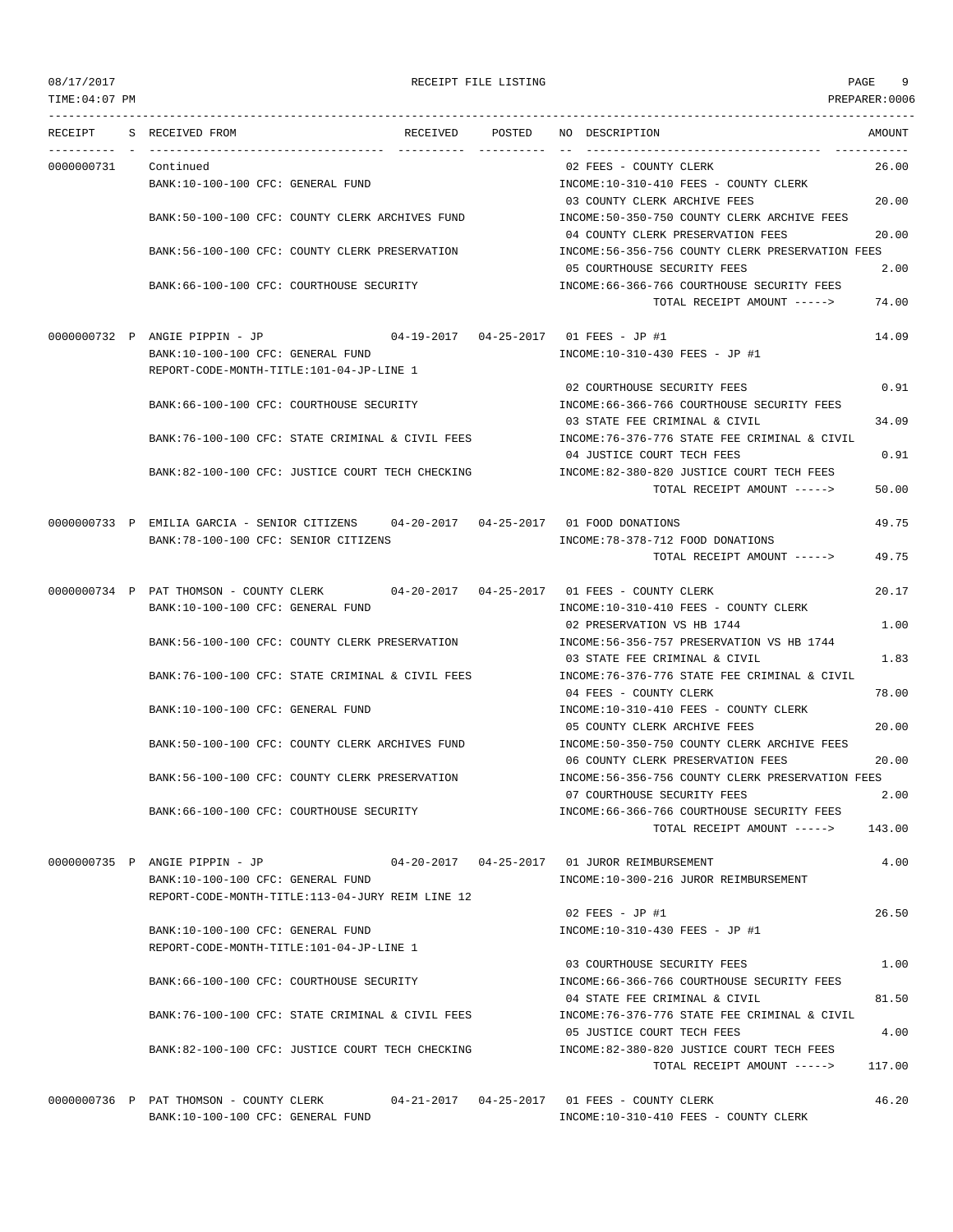TIME:04:07 PM PREPARER:0006

### 08/17/2017 RECEIPT FILE LISTING PAGE 9

--------------------------------------------------------------------------------------------------------------------------------- RECEIPT S RECEIVED FROM THE RECEIVED POSTED NO DESCRIPTION THE RECEIVED AMOUNT ---------- - ----------------------------------- ---------- ---------- -- ----------------------------------- ----------- 0000000731 Continued 02 FEES - COUNTY CLERK 26.00 BANK:10-100-100 CFC: GENERAL FUND INCOME:10-310-410 FEES - COUNTY CLERK 03 COUNTY CLERK ARCHIVE FEES 20.00 BANK:50-100-100 CFC: COUNTY CLERK ARCHIVES FUND INCOME:50-350-750 COUNTY CLERK ARCHIVE FEES 04 COUNTY CLERK PRESERVATION FEES 20.00 BANK:56-100-100 CFC: COUNTY CLERK PRESERVATION INCOME:56-356-756 COUNTY CLERK PRESERVATION FEES 05 COURTHOUSE SECURITY FEES 2.00 BANK:66-100-100 CFC: COURTHOUSE SECURITY INCOME:66-366-766 COURTHOUSE SECURITY FEES TOTAL RECEIPT AMOUNT -----> 74.00 0000000732 P ANGIE PIPPIN - JP 04-19-2017 04-25-2017 01 FEES - JP #1 14.09 BANK:10-100-100 CFC: GENERAL FUND INCOME:10-310-430 FEES - JP #1 REPORT-CODE-MONTH-TITLE:101-04-JP-LINE 1 02 COURTHOUSE SECURITY FEES 0.91 BANK:66-100-100 CFC: COURTHOUSE SECURITY INCOME:66-366-766 COURTHOUSE SECURITY FEES 03 STATE FEE CRIMINAL & CIVIL 34.09 BANK:76-100-100 CFC: STATE CRIMINAL & CIVIL FEES INCOME:76-376-776 STATE FEE CRIMINAL & CIVIL 04 JUSTICE COURT TECH FEES 0.91 BANK:82-100-100 CFC: JUSTICE COURT TECH CHECKING INCOME:82-380-820 JUSTICE COURT TECH FEES TOTAL RECEIPT AMOUNT -----> 50.00 0000000733 P EMILIA GARCIA - SENIOR CITIZENS 04-20-2017 04-25-2017 01 FOOD DONATIONS 49.75 BANK:78-100-100 CFC: SENIOR CITIZENS INCOME:78-378-712 FOOD DONATIONS TOTAL RECEIPT AMOUNT -----> 49.75 0000000734 P PAT THOMSON - COUNTY CLERK 04-20-2017 04-25-2017 01 FEES - COUNTY CLERK 20.17 BANK:10-100-100 CFC: GENERAL FUND INCOME:10-310-410 FEES - COUNTY CLERK 02 PRESERVATION VS HB 1744 1.00 BANK:56-100-100 CFC: COUNTY CLERK PRESERVATION INCOME:56-356-757 PRESERVATION VS HB 1744 03 STATE FEE CRIMINAL & CIVIL 1.83 BANK:76-100-100 CFC: STATE CRIMINAL & CIVIL FEES INCOME:76-376-776 STATE FEE CRIMINAL & CIVIL 04 FEES - COUNTY CLERK 78.00 BANK:10-100-100 CFC: GENERAL FUND **INCOME:10-310-410 FEES - COUNTY CLERK** 05 COUNTY CLERK ARCHIVE FEES 20.00 BANK:50-100-100 CFC: COUNTY CLERK ARCHIVES FUND INCOME:50-350-750 COUNTY CLERK ARCHIVE FEES 06 COUNTY CLERK PRESERVATION FEES 20.00 BANK:56-100-100 CFC: COUNTY CLERK PRESERVATION INCOME:56-356-756 COUNTY CLERK PRESERVATION FEES 07 COURTHOUSE SECURITY FEES 2.00 BANK:66-100-100 CFC: COURTHOUSE SECURITY INCOME:66-366-766 COURTHOUSE SECURITY FEES TOTAL RECEIPT AMOUNT -----> 143.00 0000000735 P ANGIE PIPPIN - JP 04-20-2017 04-25-2017 01 JUROR REIMBURSEMENT 4.00 BANK:10-100-100 CFC: GENERAL FUND INCOME:10-300-216 JUROR REIMBURSEMENT REPORT-CODE-MONTH-TITLE:113-04-JURY REIM LINE 12  $0.2$  FEES - JP #1 26.50 BANK:10-100-100 CFC: GENERAL FUND INCOME:10-310-430 FEES - JP #1 REPORT-CODE-MONTH-TITLE:101-04-JP-LINE 1 03 COURTHOUSE SECURITY FEES 1.00 BANK:66-100-100 CFC: COURTHOUSE SECURITY INCOME:66-366-766 COURTHOUSE SECURITY FEES 04 STATE FEE CRIMINAL & CIVIL 81.50 BANK:76-100-100 CFC: STATE CRIMINAL & CIVIL FEES **INCOME:76-376-776 STATE FEE CRIMINAL & CIVIL** 05 JUSTICE COURT TECH FEES 4.00 BANK:82-100-100 CFC: JUSTICE COURT TECH CHECKING INCOME:82-380-820 JUSTICE COURT TECH FEES TOTAL RECEIPT AMOUNT -----> 117.00 0000000736 P PAT THOMSON - COUNTY CLERK 04-21-2017 04-25-2017 01 FEES - COUNTY CLERK 46.20

BANK:10-100-100 CFC: GENERAL FUND INCOME:10-310-410 FEES - COUNTY CLERK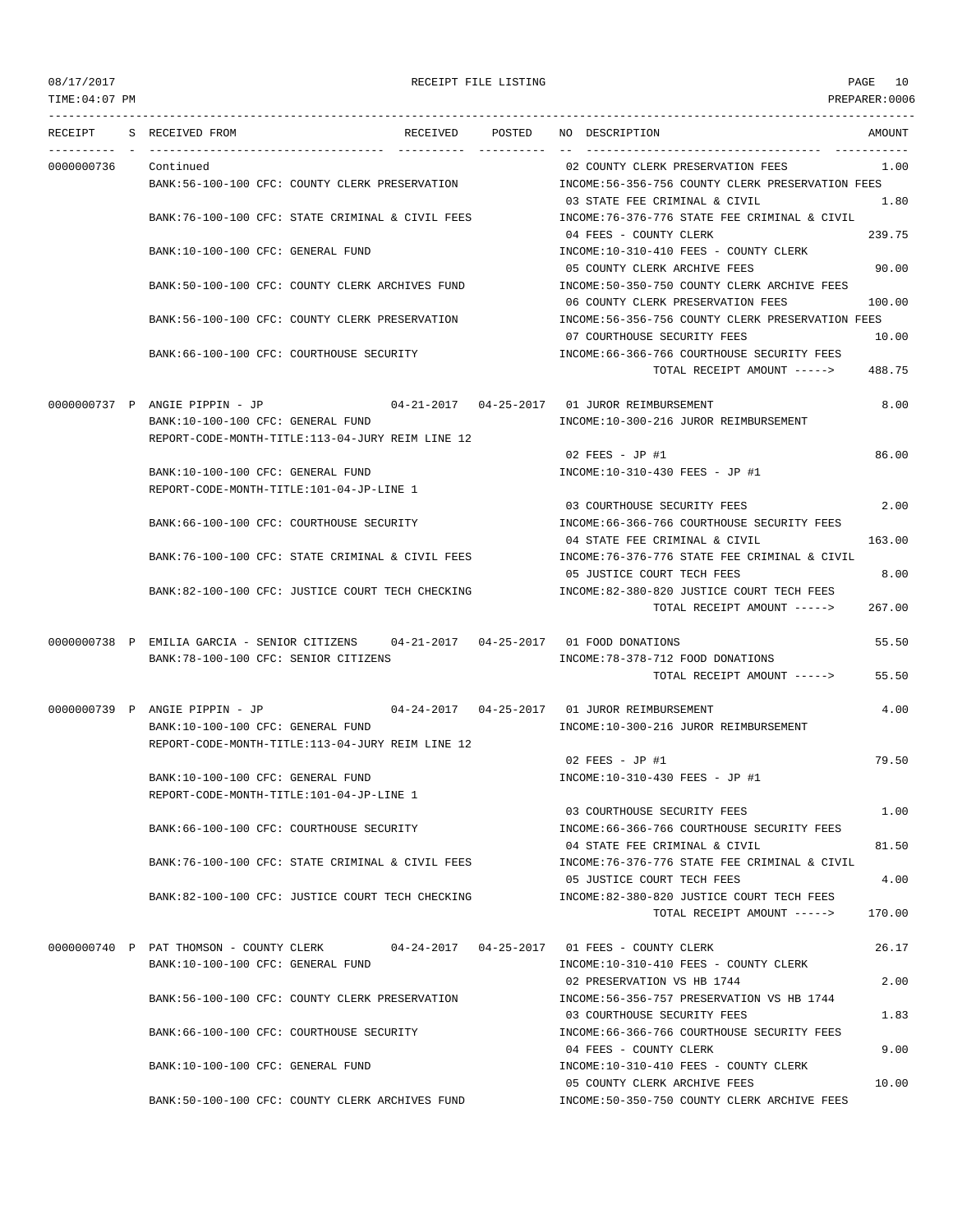TIME:04:07 PM PREPARER:0006 --------------------------------------------------------------------------------------------------------------------------------- RECEIPT S RECEIVED FROM THE RECEIVED POSTED NO DESCRIPTION THE RECEIVED AMOUNT ---------- - ----------------------------------- ---------- ---------- -- ----------------------------------- ----------- 0000000736 Continued 02 COUNTY CLERK PRESERVATION FEES 1.00 BANK:56-100-100 CFC: COUNTY CLERK PRESERVATION INCOME:56-356-756 COUNTY CLERK PRESERVATION FEES 03 STATE FEE CRIMINAL & CIVIL 1.80 BANK:76-100-100 CFC: STATE CRIMINAL & CIVIL FEES INCOME:76-376-776 STATE FEE CRIMINAL & CIVIL 04 FEES - COUNTY CLERK 239.75 BANK:10-100-100 CFC: GENERAL FUND INCOME:10-310-410 FEES - COUNTY CLERK 05 COUNTY CLERK ARCHIVE FEES 90.00 BANK:50-100-100 CFC: COUNTY CLERK ARCHIVES FUND INCOME:50-350-750 COUNTY CLERK ARCHIVE FEES 06 COUNTY CLERK PRESERVATION FEES 100.00 BANK:56-100-100 CFC: COUNTY CLERK PRESERVATION INCOME:56-356-756 COUNTY CLERK PRESERVATION FEES 07 COURTHOUSE SECURITY FEES 10.00 BANK:66-100-100 CFC: COURTHOUSE SECURITY INCOME:66-366-766 COURTHOUSE SECURITY FEES TOTAL RECEIPT AMOUNT -----> 488.75 0000000737 P ANGIE PIPPIN - JP 04-21-2017 04-25-2017 01 JUROR REIMBURSEMENT 8.00 BANK:10-100-100 CFC: GENERAL FUND INCOME:10-300-216 JUROR REIMBURSEMENT REPORT-CODE-MONTH-TITLE:113-04-JURY REIM LINE 12  $02$  FEES - JP #1 86.00 BANK:10-100-100 CFC: GENERAL FUND INCOME:10-310-430 FEES - JP #1 REPORT-CODE-MONTH-TITLE:101-04-JP-LINE 1 03 COURTHOUSE SECURITY FEES 2.00 BANK:66-100-100 CFC: COURTHOUSE SECURITY INCOME:66-366-766 COURTHOUSE SECURITY FEES 04 STATE FEE CRIMINAL & CIVIL 163.00 BANK:76-100-100 CFC: STATE CRIMINAL & CIVIL FEES INCOME:76-376-776 STATE FEE CRIMINAL & CIVIL 05 JUSTICE COURT TECH FEES 8.00 BANK:82-100-100 CFC: JUSTICE COURT TECH CHECKING INCOME:82-380-820 JUSTICE COURT TECH FEES TOTAL RECEIPT AMOUNT -----> 267.00 0000000738 P EMILIA GARCIA - SENIOR CITIZENS 04-21-2017 04-25-2017 01 FOOD DONATIONS 55.50 BANK:78-100-100 CFC: SENIOR CITIZENS INCOME:78-378-712 FOOD DONATIONS TOTAL RECEIPT AMOUNT -----> 55.50 0000000739 P ANGIE PIPPIN - JP 04-24-2017 04-25-2017 01 JUROR REIMBURSEMENT 4.00 BANK:10-100-100 CFC: GENERAL FUND INCOME:10-300-216 JUROR REIMBURSEMENT REPORT-CODE-MONTH-TITLE:113-04-JURY REIM LINE 12 02 FEES - JP #1 79.50 BANK:10-100-100 CFC: GENERAL FUND INCOME:10-310-430 FEES - JP #1 REPORT-CODE-MONTH-TITLE:101-04-JP-LINE 1 03 COURTHOUSE SECURITY FEES 1.00 BANK:66-100-100 CFC: COURTHOUSE SECURITY **INCOME:66-366-766 COURTHOUSE SECURITY FEES** 04 STATE FEE CRIMINAL & CIVIL 81.50 BANK:76-100-100 CFC: STATE CRIMINAL & CIVIL FEES INCOME:76-376-776 STATE FEE CRIMINAL & CIVIL 05 JUSTICE COURT TECH FEES 4.00 BANK:82-100-100 CFC: JUSTICE COURT TECH CHECKING INCOME:82-380-820 JUSTICE COURT TECH FEES  $TOTAI$ , RECEIPT AMOUNT  $---2$  170.00 0000000740 P PAT THOMSON - COUNTY CLERK 04-24-2017 04-25-2017 01 FEES - COUNTY CLERK 26.17 BANK:10-100-100 CFC: GENERAL FUND INCOME:10-310-410 FEES - COUNTY CLERK 02 PRESERVATION VS HB 1744 2.00 BANK:56-100-100 CFC: COUNTY CLERK PRESERVATION INCOME:56-356-757 PRESERVATION VS HB 1744 03 COURTHOUSE SECURITY FEES 1.83 BANK:66-100-100 CFC: COURTHOUSE SECURITY INCOME:66-366-766 COURTHOUSE SECURITY FEES 04 FEES - COUNTY CLERK 9.00 BANK:10-100-100 CFC: GENERAL FUND SALL AND SERVICING COUNTY CLERK THE SOUNTY CLERK 05 COUNTY CLERK ARCHIVE FEES 10.00 BANK:50-100-100 CFC: COUNTY CLERK ARCHIVES FUND INCOME:50-350-750 COUNTY CLERK ARCHIVE FEES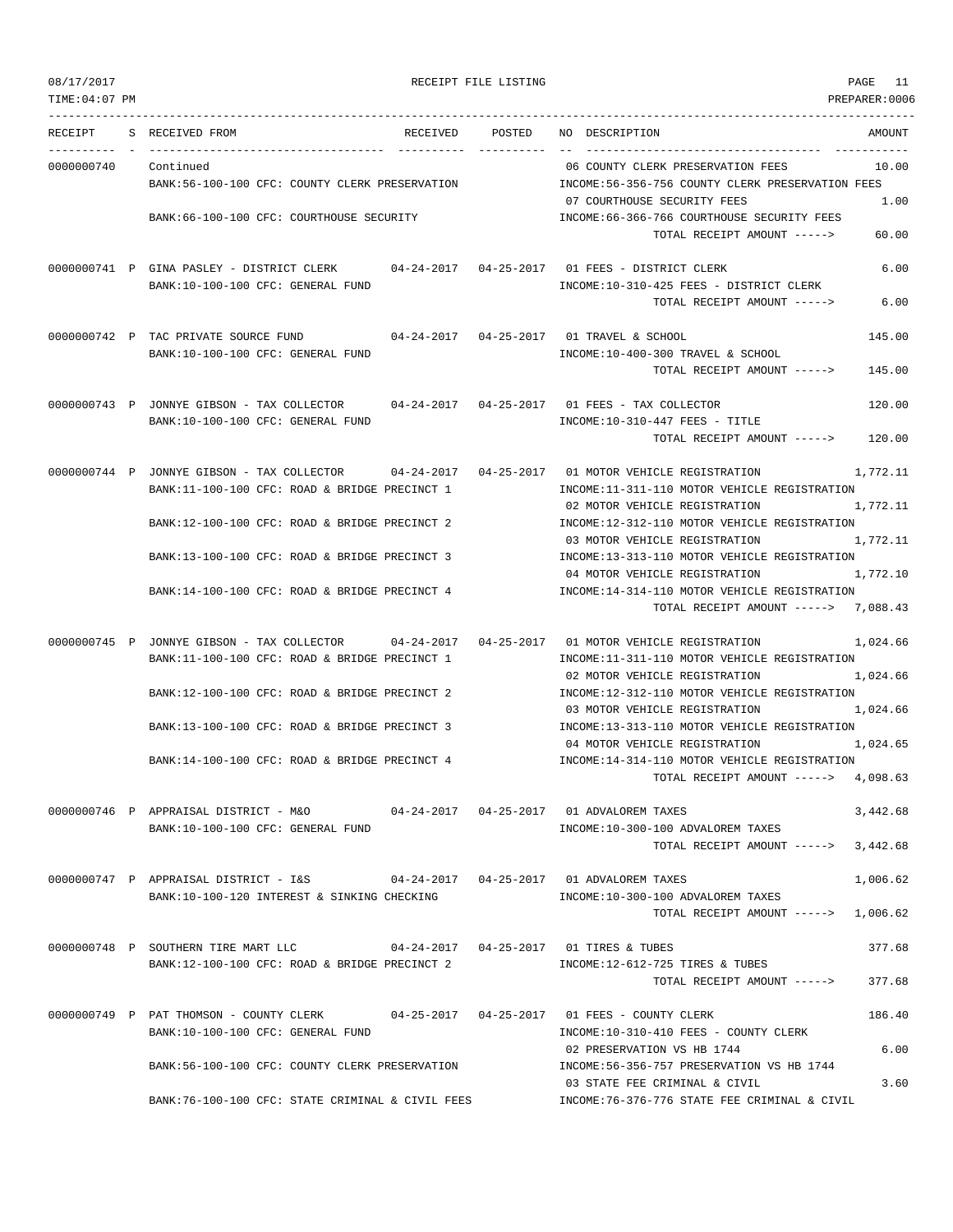| 08/17/2017 | RECEIPT FILE LISTING | PAGE | - - |
|------------|----------------------|------|-----|
|------------|----------------------|------|-----|

| RECEIPT    | S RECEIVED FROM<br>-------- - ---------------                                                  | RECEIVED | POSTED | NO DESCRIPTION                                                                       | AMOUNT   |
|------------|------------------------------------------------------------------------------------------------|----------|--------|--------------------------------------------------------------------------------------|----------|
| 0000000740 | Continued                                                                                      |          |        | 06 COUNTY CLERK PRESERVATION FEES                                                    | 10.00    |
|            | BANK: 56-100-100 CFC: COUNTY CLERK PRESERVATION                                                |          |        | INCOME:56-356-756 COUNTY CLERK PRESERVATION FEES                                     |          |
|            | BANK:66-100-100 CFC: COURTHOUSE SECURITY                                                       |          |        | 07 COURTHOUSE SECURITY FEES<br>INCOME:66-366-766 COURTHOUSE SECURITY FEES            | 1.00     |
|            |                                                                                                |          |        | TOTAL RECEIPT AMOUNT ----->                                                          | 60.00    |
|            | 0000000741 P GINA PASLEY - DISTRICT CLERK 04-24-2017 04-25-2017 01 FEES - DISTRICT CLERK       |          |        |                                                                                      | 6.00     |
|            | BANK:10-100-100 CFC: GENERAL FUND                                                              |          |        | INCOME:10-310-425 FEES - DISTRICT CLERK                                              |          |
|            |                                                                                                |          |        | TOTAL RECEIPT AMOUNT ----->                                                          | 6.00     |
|            | 0000000742 P TAC PRIVATE SOURCE FUND                                                           |          |        |                                                                                      | 145.00   |
|            | BANK:10-100-100 CFC: GENERAL FUND                                                              |          |        | INCOME:10-400-300 TRAVEL & SCHOOL                                                    |          |
|            |                                                                                                |          |        | TOTAL RECEIPT AMOUNT ----->                                                          | 145.00   |
|            | 0000000743 P JONNYE GIBSON - TAX COLLECTOR                                                     |          |        |                                                                                      | 120.00   |
|            | BANK:10-100-100 CFC: GENERAL FUND                                                              |          |        | INCOME:10-310-447 FEES - TITLE                                                       |          |
|            |                                                                                                |          |        | TOTAL RECEIPT AMOUNT ----->                                                          | 120.00   |
|            | 0000000744 P JONNYE GIBSON - TAX COLLECTOR 04-24-2017 04-25-2017 01 MOTOR VEHICLE REGISTRATION |          |        |                                                                                      | 1,772.11 |
|            | BANK:11-100-100 CFC: ROAD & BRIDGE PRECINCT 1                                                  |          |        | INCOME:11-311-110 MOTOR VEHICLE REGISTRATION                                         |          |
|            |                                                                                                |          |        | 02 MOTOR VEHICLE REGISTRATION                                                        | 1,772.11 |
|            | BANK:12-100-100 CFC: ROAD & BRIDGE PRECINCT 2                                                  |          |        | INCOME:12-312-110 MOTOR VEHICLE REGISTRATION<br>03 MOTOR VEHICLE REGISTRATION        | 1,772.11 |
|            | BANK:13-100-100 CFC: ROAD & BRIDGE PRECINCT 3                                                  |          |        | INCOME:13-313-110 MOTOR VEHICLE REGISTRATION                                         |          |
|            |                                                                                                |          |        | 04 MOTOR VEHICLE REGISTRATION                                                        | 1,772.10 |
|            | BANK:14-100-100 CFC: ROAD & BRIDGE PRECINCT 4                                                  |          |        | INCOME:14-314-110 MOTOR VEHICLE REGISTRATION<br>TOTAL RECEIPT AMOUNT -----> 7,088.43 |          |
|            |                                                                                                |          |        |                                                                                      |          |
|            | 0000000745 P JONNYE GIBSON - TAX COLLECTOR 04-24-2017 04-25-2017 01 MOTOR VEHICLE REGISTRATION |          |        |                                                                                      | 1,024.66 |
|            | BANK:11-100-100 CFC: ROAD & BRIDGE PRECINCT 1                                                  |          |        | INCOME:11-311-110 MOTOR VEHICLE REGISTRATION<br>02 MOTOR VEHICLE REGISTRATION        | 1,024.66 |
|            | BANK:12-100-100 CFC: ROAD & BRIDGE PRECINCT 2                                                  |          |        | INCOME:12-312-110 MOTOR VEHICLE REGISTRATION                                         |          |
|            |                                                                                                |          |        | 03 MOTOR VEHICLE REGISTRATION                                                        | 1,024.66 |
|            | BANK:13-100-100 CFC: ROAD & BRIDGE PRECINCT 3                                                  |          |        | INCOME:13-313-110 MOTOR VEHICLE REGISTRATION<br>04 MOTOR VEHICLE REGISTRATION        | 1,024.65 |
|            | BANK:14-100-100 CFC: ROAD & BRIDGE PRECINCT 4                                                  |          |        | INCOME:14-314-110 MOTOR VEHICLE REGISTRATION                                         |          |
|            |                                                                                                |          |        | TOTAL RECEIPT AMOUNT -----> 4,098.63                                                 |          |
|            | 0000000746 P APPRAISAL DISTRICT - M&O                                                          |          |        |                                                                                      | 3,442.68 |
|            | BANK:10-100-100 CFC: GENERAL FUND                                                              |          |        | INCOME:10-300-100 ADVALOREM TAXES                                                    |          |
|            |                                                                                                |          |        | TOTAL RECEIPT AMOUNT ----->                                                          | 3,442.68 |
|            |                                                                                                |          |        |                                                                                      | 1,006.62 |
|            | BANK:10-100-120 INTEREST & SINKING CHECKING                                                    |          |        | INCOME:10-300-100 ADVALOREM TAXES                                                    |          |
|            |                                                                                                |          |        | TOTAL RECEIPT AMOUNT -----> 1,006.62                                                 |          |
|            | 0000000748 P SOUTHERN TIRE MART LLC                                                            |          |        | 04-24-2017  04-25-2017  01 TIRES & TUBES                                             | 377.68   |
|            | BANK:12-100-100 CFC: ROAD & BRIDGE PRECINCT 2                                                  |          |        | INCOME:12-612-725 TIRES & TUBES                                                      |          |
|            |                                                                                                |          |        | TOTAL RECEIPT AMOUNT ----->                                                          | 377.68   |
|            | 0000000749 P PAT THOMSON - COUNTY CLERK                                                        |          |        |                                                                                      | 186.40   |
|            | BANK:10-100-100 CFC: GENERAL FUND                                                              |          |        | INCOME:10-310-410 FEES - COUNTY CLERK                                                |          |
|            |                                                                                                |          |        | 02 PRESERVATION VS HB 1744                                                           | 6.00     |
|            | BANK:56-100-100 CFC: COUNTY CLERK PRESERVATION                                                 |          |        | INCOME: 56-356-757 PRESERVATION VS HB 1744<br>03 STATE FEE CRIMINAL & CIVIL          | 3.60     |
|            | BANK:76-100-100 CFC: STATE CRIMINAL & CIVIL FEES                                               |          |        | INCOME:76-376-776 STATE FEE CRIMINAL & CIVIL                                         |          |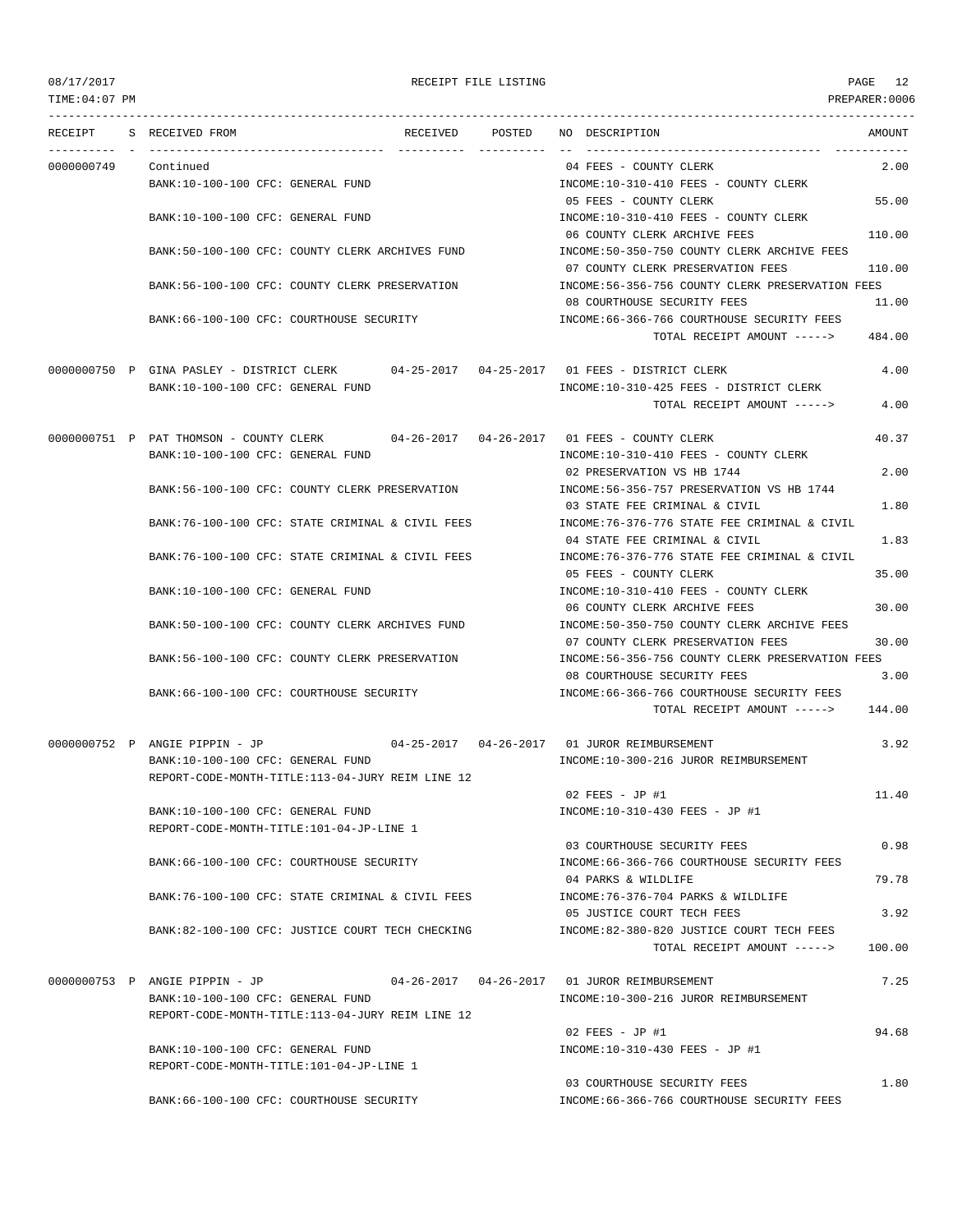TIME:04:07 PM PREPARER:0006

### 08/17/2017 RECEIPT FILE LISTING PAGE 12

--------------------------------------------------------------------------------------------------------------------------------- RECEIPT S RECEIVED FROM RECEIVED POSTED NO DESCRIPTION AMOUNT ---------- - ----------------------------------- ---------- ---------- -- ----------------------------------- ----------- 0000000749 Continued 04 FEES - COUNTY CLERK 2.00 BANK:10-100-100 CFC: GENERAL FUND INCOME:10-310-410 FEES - COUNTY CLERK 05 FEES - COUNTY CLERK 55.00 BANK:10-100-100 CFC: GENERAL FUND INCOME:10-310-410 FEES - COUNTY CLERK 06 COUNTY CLERK ARCHIVE FEES 110.00 BANK:50-100-100 CFC: COUNTY CLERK ARCHIVES FUND INCOME:50-350-750 COUNTY CLERK ARCHIVE FEES 07 COUNTY CLERK PRESERVATION FEES 110.00 BANK:56-100-100 CFC: COUNTY CLERK PRESERVATION INCOME:56-356-756 COUNTY CLERK PRESERVATION FEES 08 COURTHOUSE SECURITY FEES 11.00 BANK:66-100-100 CFC: COURTHOUSE SECURITY **INCOME:66-366-766 COURTHOUSE SECURITY FEES** TOTAL RECEIPT AMOUNT -----> 484.00 0000000750 P GINA PASLEY - DISTRICT CLERK 04-25-2017 04-25-2017 01 FEES - DISTRICT CLERK 4.00 BANK:10-100-100 CFC: GENERAL FUND INCOME:10-310-425 FEES - DISTRICT CLERK TOTAL RECEIPT AMOUNT -----> 4.00 0000000751 P PAT THOMSON - COUNTY CLERK 04-26-2017 04-26-2017 01 FEES - COUNTY CLERK 40.37 BANK:10-100-100 CFC: GENERAL FUND INCOME:10-310-410 FEES - COUNTY CLERK 02 PRESERVATION VS HB 1744 2.00 BANK:56-100-100 CFC: COUNTY CLERK PRESERVATION INCOME:56-356-757 PRESERVATION VS HB 1744 03 STATE FEE CRIMINAL & CIVIL 1.80 BANK:76-100-100 CFC: STATE CRIMINAL & CIVIL FEES INCOME:76-376-776 STATE FEE CRIMINAL & CIVIL 04 STATE FEE CRIMINAL & CIVIL 1.83 BANK:76-100-100 CFC: STATE CRIMINAL & CIVIL FEES INCOME:76-376-776 STATE FEE CRIMINAL & CIVIL 05 FEES - COUNTY CLERK 35.00 BANK:10-100-100 CFC: GENERAL FUND INCOME:10-310-410 FEES - COUNTY CLERK 06 COUNTY CLERK ARCHIVE FEES 30.00 BANK:50-100-100 CFC: COUNTY CLERK ARCHIVES FUND INCOME:50-350-750 COUNTY CLERK ARCHIVE FEES 07 COUNTY CLERK PRESERVATION FEES 30.00 BANK:56-100-100 CFC: COUNTY CLERK PRESERVATION INCOME:56-356-756 COUNTY CLERK PRESERVATION FEES 08 COURTHOUSE SECURITY FEES 3.00 BANK:66-100-100 CFC: COURTHOUSE SECURITY **INCOME:66-366-766 COURTHOUSE SECURITY** FEES TOTAL RECEIPT AMOUNT -----> 144.00 0000000752 P ANGIE PIPPIN - JP 04-25-2017 04-26-2017 01 JUROR REIMBURSEMENT 3.92 BANK:10-100-100 CFC: GENERAL FUND INCOME:10-300-216 JUROR REIMBURSEMENT REPORT-CODE-MONTH-TITLE:113-04-JURY REIM LINE 12  $02$  FEES - JD #1  $11.40$ BANK:10-100-100 CFC: GENERAL FUND INCOME:10-310-430 FEES - JP #1 REPORT-CODE-MONTH-TITLE:101-04-JP-LINE 1 03 COURTHOUSE SECURITY FEES 0.98 BANK:66-100-100 CFC: COURTHOUSE SECURITY INCOME:66-366-766 COURTHOUSE SECURITY FEES 04 PARKS & WILDLIFE 79.78 BANK:76-100-100 CFC: STATE CRIMINAL & CIVIL FEES INCOME:76-376-704 PARKS & WILDLIFE 05 JUSTICE COURT TECH FEES 3.92 BANK:82-100-100 CFC: JUSTICE COURT TECH CHECKING INCOME:82-380-820 JUSTICE COURT TECH FEES TOTAL RECEIPT AMOUNT -----> 100.00 0000000753 P ANGIE PIPPIN - JP 04-26-2017 04-26-2017 01 JUROR REIMBURSEMENT 7.25 BANK:10-100-100 CFC: GENERAL FUND INCOME:10-300-216 JUROR REIMBURSEMENT REPORT-CODE-MONTH-TITLE:113-04-JURY REIM LINE 12  $0.2$  FEES - JP #1 94.68 BANK:10-100-100 CFC: GENERAL FUND INCOME:10-310-430 FEES - JP #1 REPORT-CODE-MONTH-TITLE:101-04-JP-LINE 1 03 COURTHOUSE SECURITY FEES 1.80 BANK:66-100-100 CFC: COURTHOUSE SECURITY INCOME:66-366-766 COURTHOUSE SECURITY FEES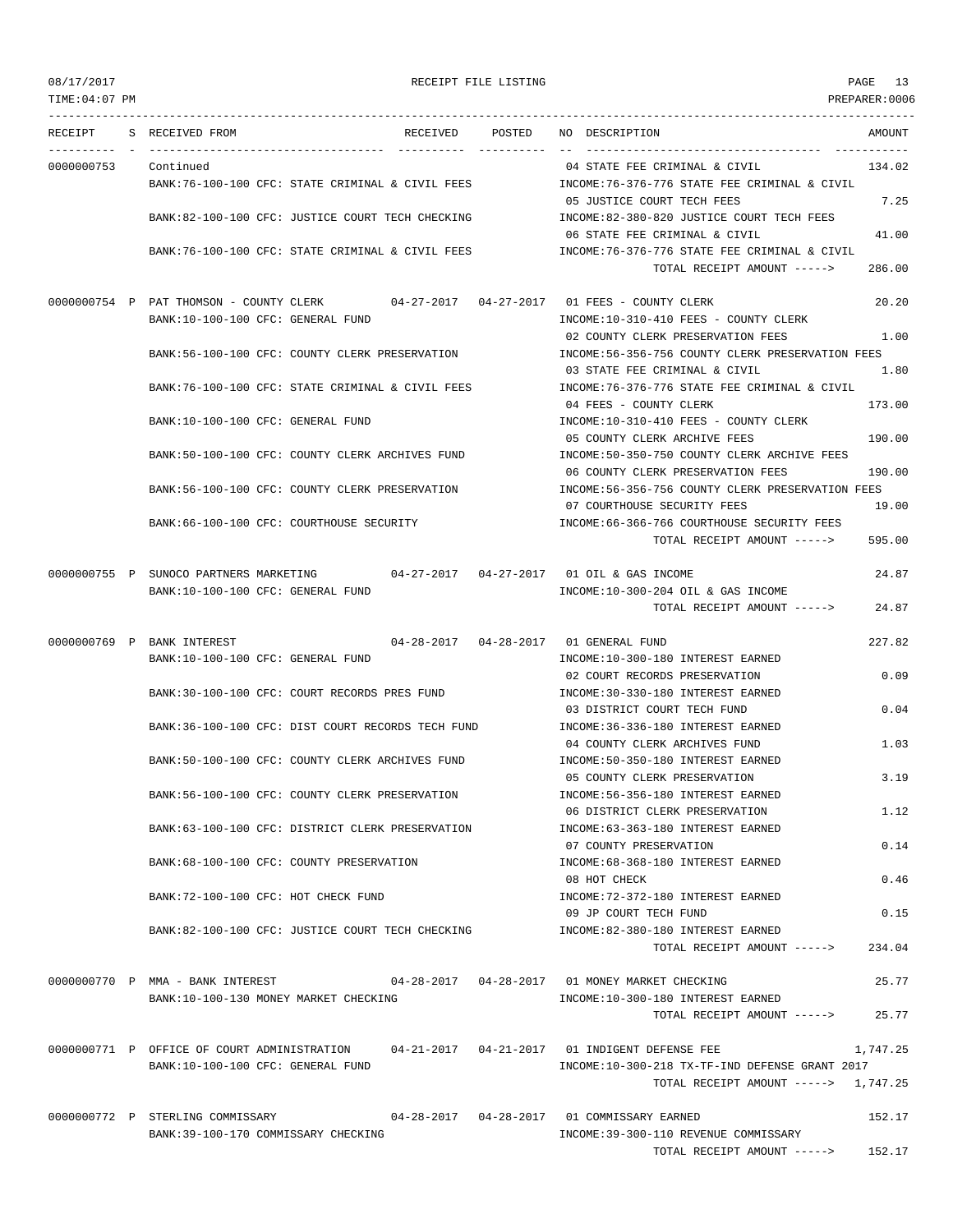| 08/17/2017<br>TIME: 04:07 PM |                                                                                           | RECEIPT FILE LISTING |                                                                                | PAGE 13<br>PREPARER: 0006 |
|------------------------------|-------------------------------------------------------------------------------------------|----------------------|--------------------------------------------------------------------------------|---------------------------|
|                              | RECEIPT S RECEIVED FROM                                                                   | RECEIVED POSTED      | NO DESCRIPTION                                                                 | AMOUNT                    |
| 0000000753                   | Continued                                                                                 |                      | 04 STATE FEE CRIMINAL & CIVIL                                                  | 134.02                    |
|                              | BANK:76-100-100 CFC: STATE CRIMINAL & CIVIL FEES                                          |                      | INCOME:76-376-776 STATE FEE CRIMINAL & CIVIL                                   |                           |
|                              |                                                                                           |                      | 05 JUSTICE COURT TECH FEES                                                     | 7.25                      |
|                              | BANK:82-100-100 CFC: JUSTICE COURT TECH CHECKING                                          |                      | INCOME:82-380-820 JUSTICE COURT TECH FEES                                      |                           |
|                              | BANK:76-100-100 CFC: STATE CRIMINAL & CIVIL FEES                                          |                      | 06 STATE FEE CRIMINAL & CIVIL<br>INCOME: 76-376-776 STATE FEE CRIMINAL & CIVIL | 41.00                     |
|                              |                                                                                           |                      | TOTAL RECEIPT AMOUNT ----->                                                    | 286.00                    |
|                              | 0000000754 P PAT THOMSON - COUNTY CLERK 04-27-2017 04-27-2017 01 FEES - COUNTY CLERK      |                      |                                                                                | 20.20                     |
|                              | BANK:10-100-100 CFC: GENERAL FUND                                                         |                      | INCOME:10-310-410 FEES - COUNTY CLERK                                          |                           |
|                              |                                                                                           |                      | 02 COUNTY CLERK PRESERVATION FEES                                              | 1.00                      |
|                              | BANK:56-100-100 CFC: COUNTY CLERK PRESERVATION                                            |                      | INCOME:56-356-756 COUNTY CLERK PRESERVATION FEES                               |                           |
|                              |                                                                                           |                      | 03 STATE FEE CRIMINAL & CIVIL                                                  | 1.80                      |
|                              | BANK:76-100-100 CFC: STATE CRIMINAL & CIVIL FEES                                          |                      | INCOME: 76-376-776 STATE FEE CRIMINAL & CIVIL                                  |                           |
|                              |                                                                                           |                      | 04 FEES - COUNTY CLERK                                                         | 173.00                    |
|                              | BANK:10-100-100 CFC: GENERAL FUND                                                         |                      | INCOME:10-310-410 FEES - COUNTY CLERK<br>05 COUNTY CLERK ARCHIVE FEES          | 190.00                    |
|                              | BANK:50-100-100 CFC: COUNTY CLERK ARCHIVES FUND                                           |                      | INCOME:50-350-750 COUNTY CLERK ARCHIVE FEES                                    |                           |
|                              |                                                                                           |                      | 06 COUNTY CLERK PRESERVATION FEES                                              | 190.00                    |
|                              | BANK:56-100-100 CFC: COUNTY CLERK PRESERVATION                                            |                      | INCOME:56-356-756 COUNTY CLERK PRESERVATION FEES                               |                           |
|                              |                                                                                           |                      | 07 COURTHOUSE SECURITY FEES                                                    | 19.00                     |
|                              | BANK:66-100-100 CFC: COURTHOUSE SECURITY                                                  |                      | INCOME: 66-366-766 COURTHOUSE SECURITY FEES                                    |                           |
|                              |                                                                                           |                      | TOTAL RECEIPT AMOUNT ----->                                                    | 595.00                    |
|                              | 0000000755 P SUNOCO PARTNERS MARKETING $04-27-2017$ $04-27-2017$ 01 OIL & GAS INCOME      |                      |                                                                                | 24.87                     |
|                              | BANK:10-100-100 CFC: GENERAL FUND                                                         |                      | INCOME:10-300-204 OIL & GAS INCOME                                             |                           |
|                              |                                                                                           |                      | TOTAL RECEIPT AMOUNT ----->                                                    | 24.87                     |
|                              | 0000000769 P BANK INTEREST                                                                |                      |                                                                                | 227.82                    |
|                              | BANK:10-100-100 CFC: GENERAL FUND                                                         |                      | INCOME:10-300-180 INTEREST EARNED                                              |                           |
|                              |                                                                                           |                      | 02 COURT RECORDS PRESERVATION                                                  | 0.09                      |
|                              | BANK:30-100-100 CFC: COURT RECORDS PRES FUND                                              |                      | INCOME: 30-330-180 INTEREST EARNED                                             |                           |
|                              |                                                                                           |                      | 03 DISTRICT COURT TECH FUND                                                    | 0.04                      |
|                              | BANK:36-100-100 CFC: DIST COURT RECORDS TECH FUND                                         |                      | INCOME: 36-336-180 INTEREST EARNED                                             |                           |
|                              | BANK:50-100-100 CFC: COUNTY CLERK ARCHIVES FUND                                           |                      | 04 COUNTY CLERK ARCHIVES FUND<br>INCOME: 50-350-180 INTEREST EARNED            | 1.03                      |
|                              |                                                                                           |                      | 05 COUNTY CLERK PRESERVATION                                                   | 3.19                      |
|                              | BANK:56-100-100 CFC: COUNTY CLERK PRESERVATION                                            |                      | INCOME: 56-356-180 INTEREST EARNED                                             |                           |
|                              |                                                                                           |                      | 06 DISTRICT CLERK PRESERVATION                                                 | 1.12                      |
|                              | BANK:63-100-100 CFC: DISTRICT CLERK PRESERVATION                                          |                      | INCOME: 63-363-180 INTEREST EARNED                                             |                           |
|                              |                                                                                           |                      | 07 COUNTY PRESERVATION                                                         | 0.14                      |
|                              | BANK: 68-100-100 CFC: COUNTY PRESERVATION                                                 |                      | INCOME: 68-368-180 INTEREST EARNED<br>08 HOT CHECK                             | 0.46                      |
|                              | BANK: 72-100-100 CFC: HOT CHECK FUND                                                      |                      | INCOME: 72-372-180 INTEREST EARNED                                             |                           |
|                              |                                                                                           |                      | 09 JP COURT TECH FUND                                                          | 0.15                      |
|                              | BANK:82-100-100 CFC: JUSTICE COURT TECH CHECKING                                          |                      | INCOME:82-380-180 INTEREST EARNED<br>TOTAL RECEIPT AMOUNT ----->               | 234.04                    |
|                              | 0000000770 P MMA - BANK INTEREST 604-28-2017 04-28-2017 01 MONEY MARKET CHECKING          |                      |                                                                                | 25.77                     |
|                              | BANK:10-100-130 MONEY MARKET CHECKING                                                     |                      | INCOME:10-300-180 INTEREST EARNED                                              |                           |
|                              |                                                                                           |                      | TOTAL RECEIPT AMOUNT ----->                                                    | 25.77                     |
|                              |                                                                                           |                      |                                                                                |                           |
|                              | 0000000771 P OFFICE OF COURT ADMINISTRATION 04-21-2017 04-21-2017 01 INDIGENT DEFENSE FEE |                      |                                                                                | 1,747.25                  |
|                              | BANK:10-100-100 CFC: GENERAL FUND                                                         |                      | INCOME:10-300-218 TX-TF-IND DEFENSE GRANT 2017                                 |                           |
|                              |                                                                                           |                      | TOTAL RECEIPT AMOUNT $---2$ 1,747.25                                           |                           |
|                              | 0000000772 P STERLING COMMISSARY                                                          |                      | 04-28-2017  04-28-2017  01 COMMISSARY EARNED                                   | 152.17                    |
|                              | BANK:39-100-170 COMMISSARY CHECKING                                                       |                      | INCOME: 39-300-110 REVENUE COMMISSARY                                          |                           |

TOTAL RECEIPT AMOUNT -----> 152.17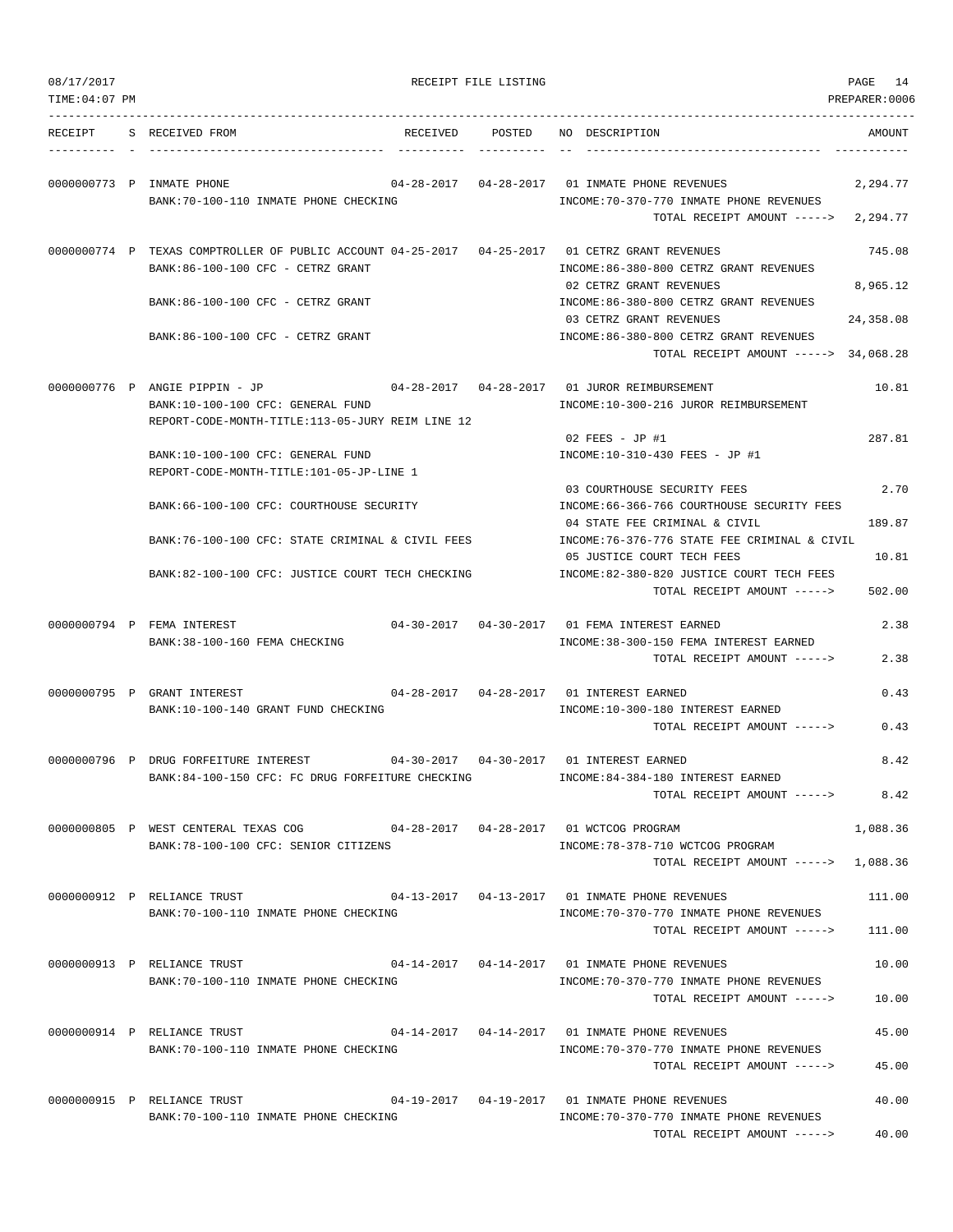| 08/17/2017<br>TIME: 04: 07 PM |                                                                                                                                     | RECEIPT FILE LISTING |                                                                                                                                    | PAGE<br>14<br>PREPARER:0006 |
|-------------------------------|-------------------------------------------------------------------------------------------------------------------------------------|----------------------|------------------------------------------------------------------------------------------------------------------------------------|-----------------------------|
| RECEIPT                       | S RECEIVED FROM                                                                                                                     |                      | RECEIVED POSTED NO DESCRIPTION                                                                                                     | AMOUNT                      |
|                               | 0000000773 P INMATE PHONE<br>BANK:70-100-110 INMATE PHONE CHECKING                                                                  |                      | 04-28-2017  04-28-2017  01 INMATE PHONE REVENUES<br>INCOME: 70-370-770 INMATE PHONE REVENUES<br>TOTAL RECEIPT AMOUNT $---2,294.77$ | 2,294.77                    |
|                               | 0000000774 P TEXAS COMPTROLLER OF PUBLIC ACCOUNT 04-25-2017 04-25-2017 01 CETRZ GRANT REVENUES<br>BANK:86-100-100 CFC - CETRZ GRANT |                      | INCOME:86-380-800 CETRZ GRANT REVENUES                                                                                             | 745.08                      |
|                               | BANK:86-100-100 CFC - CETRZ GRANT                                                                                                   |                      | 02 CETRZ GRANT REVENUES<br>INCOME: 86-380-800 CETRZ GRANT REVENUES                                                                 | 8,965.12                    |
|                               | BANK:86-100-100 CFC - CETRZ GRANT                                                                                                   |                      | 03 CETRZ GRANT REVENUES<br>INCOME: 86-380-800 CETRZ GRANT REVENUES                                                                 | 24,358.08                   |
|                               | 00000000776 P ANGIE PIPPIN - JP                                                                                                     |                      | TOTAL RECEIPT AMOUNT -----> 34,068.28                                                                                              | 10.81                       |
|                               | BANK:10-100-100 CFC: GENERAL FUND<br>REPORT-CODE-MONTH-TITLE:113-05-JURY REIM LINE 12                                               |                      | INCOME:10-300-216 JUROR REIMBURSEMENT                                                                                              |                             |
|                               | BANK:10-100-100 CFC: GENERAL FUND<br>REPORT-CODE-MONTH-TITLE:101-05-JP-LINE 1                                                       |                      | 02 FEES - JP #1<br>INCOME:10-310-430 FEES - JP #1                                                                                  | 287.81                      |
|                               | BANK: 66-100-100 CFC: COURTHOUSE SECURITY                                                                                           |                      | 03 COURTHOUSE SECURITY FEES<br>INCOME: 66-366-766 COURTHOUSE SECURITY FEES                                                         | 2.70                        |
|                               | BANK:76-100-100 CFC: STATE CRIMINAL & CIVIL FEES                                                                                    |                      | 04 STATE FEE CRIMINAL & CIVIL<br>INCOME:76-376-776 STATE FEE CRIMINAL & CIVIL                                                      | 189.87                      |
|                               | BANK:82-100-100 CFC: JUSTICE COURT TECH CHECKING                                                                                    |                      | 05 JUSTICE COURT TECH FEES<br>INCOME:82-380-820 JUSTICE COURT TECH FEES<br>TOTAL RECEIPT AMOUNT ----->                             | 10.81<br>502.00             |
|                               | 0000000794 P FEMA INTEREST<br>BANK: 38-100-160 FEMA CHECKING                                                                        |                      | 04-30-2017  04-30-2017  01 FEMA INTEREST EARNED<br>INCOME: 38-300-150 FEMA INTEREST EARNED                                         | 2.38                        |
|                               |                                                                                                                                     |                      | TOTAL RECEIPT AMOUNT ----->                                                                                                        | 2.38                        |
|                               | 0000000795 P GRANT INTEREST<br>BANK:10-100-140 GRANT FUND CHECKING                                                                  |                      | INCOME:10-300-180 INTEREST EARNED                                                                                                  | 0.43                        |
|                               |                                                                                                                                     |                      | TOTAL RECEIPT AMOUNT ----->                                                                                                        | 0.43                        |
|                               | 0000000796 P DRUG FORFEITURE INTEREST<br>BANK:84-100-150 CFC: FC DRUG FORFEITURE CHECKING                                           |                      | INCOME: 84-384-180 INTEREST EARNED<br>TOTAL RECEIPT AMOUNT ----->                                                                  | 8.42<br>8.42                |
|                               | 0000000805 P WEST CENTERAL TEXAS COG 04-28-2017 04-28-2017 01 WCTCOG PROGRAM                                                        |                      |                                                                                                                                    | 1,088.36                    |
|                               | BANK:78-100-100 CFC: SENIOR CITIZENS                                                                                                |                      | INCOME: 78-378-710 WCTCOG PROGRAM<br>TOTAL RECEIPT AMOUNT -----> 1,088.36                                                          |                             |
|                               | 0000000912 P RELIANCE TRUST<br>BANK:70-100-110 INMATE PHONE CHECKING                                                                |                      | 04-13-2017  04-13-2017  01 INMATE PHONE REVENUES<br>INCOME:70-370-770 INMATE PHONE REVENUES                                        | 111.00                      |
|                               |                                                                                                                                     |                      | TOTAL RECEIPT AMOUNT ----->                                                                                                        | 111.00                      |
|                               | 0000000913 P RELIANCE TRUST<br>BANK:70-100-110 INMATE PHONE CHECKING                                                                |                      | 04-14-2017   04-14-2017   01 INMATE PHONE REVENUES<br>INCOME: 70-370-770 INMATE PHONE REVENUES                                     | 10.00                       |
|                               |                                                                                                                                     |                      | TOTAL RECEIPT AMOUNT ----->                                                                                                        | 10.00                       |
|                               | 0000000914 P RELIANCE TRUST<br>BANK:70-100-110 INMATE PHONE CHECKING                                                                |                      | 04-14-2017   04-14-2017   01 INMATE PHONE REVENUES<br>INCOME: 70-370-770 INMATE PHONE REVENUES<br>TOTAL RECEIPT AMOUNT ----->      | 45.00<br>45.00              |
|                               | 0000000915 P RELIANCE TRUST                                                                                                         |                      | 04-19-2017   04-19-2017   01 INMATE PHONE REVENUES                                                                                 | 40.00                       |
|                               | BANK: 70-100-110 INMATE PHONE CHECKING                                                                                              |                      | INCOME: 70-370-770 INMATE PHONE REVENUES<br>TOTAL RECEIPT AMOUNT ----->                                                            | 40.00                       |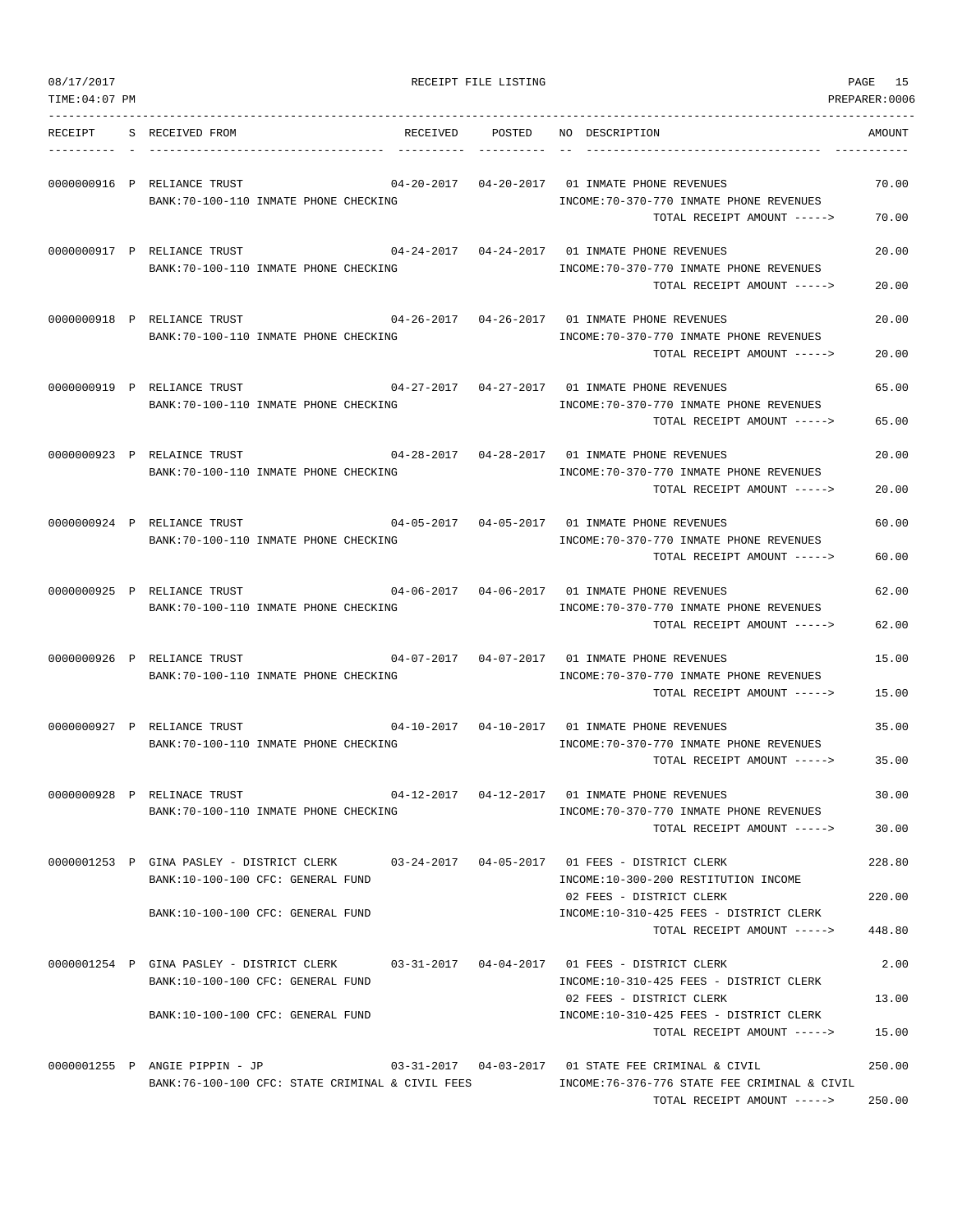| 08/17/2017     |                                                                                                                     |                 | RECEIPT FILE LISTING |                                                                                                                                                                                    | PAGE<br>15                |
|----------------|---------------------------------------------------------------------------------------------------------------------|-----------------|----------------------|------------------------------------------------------------------------------------------------------------------------------------------------------------------------------------|---------------------------|
| TIME: 04:07 PM |                                                                                                                     |                 |                      |                                                                                                                                                                                    | PREPARER:0006             |
| RECEIPT        | S RECEIVED FROM                                                                                                     | RECEIVED POSTED |                      | NO DESCRIPTION                                                                                                                                                                     | AMOUNT                    |
|                | 0000000916 P RELIANCE TRUST<br>BANK: 70-100-110 INMATE PHONE CHECKING                                               |                 |                      | 04-20-2017  04-20-2017  01 INMATE PHONE REVENUES<br>INCOME: 70-370-770 INMATE PHONE REVENUES<br>TOTAL RECEIPT AMOUNT ----->                                                        | 70.00<br>70.00            |
|                | 0000000917 P RELIANCE TRUST<br>BANK: 70-100-110 INMATE PHONE CHECKING                                               |                 |                      | 04-24-2017   04-24-2017   01 INMATE PHONE REVENUES<br>INCOME: 70-370-770 INMATE PHONE REVENUES<br>TOTAL RECEIPT AMOUNT ----->                                                      | 20.00<br>20.00            |
|                | 0000000918 P RELIANCE TRUST<br>BANK: 70-100-110 INMATE PHONE CHECKING                                               |                 |                      | $04-26-2017$ $04-26-2017$ 01 INMATE PHONE REVENUES<br>INCOME: 70-370-770 INMATE PHONE REVENUES<br>TOTAL RECEIPT AMOUNT ----->                                                      | 20.00<br>20.00            |
|                | 0000000919 P RELIANCE TRUST<br>BANK: 70-100-110 INMATE PHONE CHECKING                                               |                 |                      | 04-27-2017  04-27-2017  01 INMATE PHONE REVENUES<br>INCOME: 70-370-770 INMATE PHONE REVENUES<br>TOTAL RECEIPT AMOUNT ----->                                                        | 65.00<br>65.00            |
|                | 0000000923 P RELAINCE TRUST<br>BANK: 70-100-110 INMATE PHONE CHECKING                                               |                 |                      | 04-28-2017  04-28-2017  01 INMATE PHONE REVENUES<br>INCOME: 70-370-770 INMATE PHONE REVENUES<br>TOTAL RECEIPT AMOUNT ----->                                                        | 20.00<br>20.00            |
|                | 0000000924 P RELIANCE TRUST<br>BANK: 70-100-110 INMATE PHONE CHECKING                                               |                 |                      | $04-05-2017$ $04-05-2017$ 01 INMATE PHONE REVENUES<br>INCOME: 70-370-770 INMATE PHONE REVENUES<br>TOTAL RECEIPT AMOUNT ----->                                                      | 60.00<br>60.00            |
|                | 0000000925 P RELIANCE TRUST<br>BANK: 70-100-110 INMATE PHONE CHECKING                                               |                 |                      | 04-06-2017  04-06-2017  01 INMATE PHONE REVENUES<br>INCOME: 70-370-770 INMATE PHONE REVENUES<br>TOTAL RECEIPT AMOUNT ----->                                                        | 62.00<br>62.00            |
|                | 0000000926 P RELIANCE TRUST<br>BANK: 70-100-110 INMATE PHONE CHECKING                                               |                 |                      | 04-07-2017  04-07-2017  01 INMATE PHONE REVENUES<br>INCOME: 70-370-770 INMATE PHONE REVENUES<br>TOTAL RECEIPT AMOUNT ----->                                                        | 15.00<br>15.00            |
|                | 0000000927 P RELIANCE TRUST<br>BANK: 70-100-110 INMATE PHONE CHECKING                                               |                 |                      | 04-10-2017  04-10-2017  01 INMATE PHONE REVENUES<br>INCOME: 70-370-770 INMATE PHONE REVENUES<br>TOTAL RECEIPT AMOUNT ----->                                                        | 35.00<br>35.00            |
|                | 0000000928 P RELINACE TRUST<br>BANK:70-100-110 INMATE PHONE CHECKING                                                |                 |                      | 04-12-2017  04-12-2017  01 INMATE PHONE REVENUES<br>INCOME: 70-370-770 INMATE PHONE REVENUES<br>TOTAL RECEIPT AMOUNT ----->                                                        | 30.00<br>30.00            |
|                | 0000001253 P GINA PASLEY - DISTRICT CLERK<br>BANK:10-100-100 CFC: GENERAL FUND                                      |                 |                      | INCOME:10-300-200 RESTITUTION INCOME                                                                                                                                               | 228.80                    |
|                | BANK: 10-100-100 CFC: GENERAL FUND                                                                                  |                 |                      | 02 FEES - DISTRICT CLERK<br>INCOME:10-310-425 FEES - DISTRICT CLERK<br>TOTAL RECEIPT AMOUNT ----->                                                                                 | 220.00<br>448.80          |
|                | 0000001254 P GINA PASLEY - DISTRICT CLERK<br>BANK:10-100-100 CFC: GENERAL FUND<br>BANK:10-100-100 CFC: GENERAL FUND |                 |                      | $0.3 - 31 - 2017$ $0.4 - 0.4 - 2017$ $0.1$ FEES - DISTRICT CLERK<br>INCOME:10-310-425 FEES - DISTRICT CLERK<br>02 FEES - DISTRICT CLERK<br>INCOME:10-310-425 FEES - DISTRICT CLERK | 2.00<br>13.00             |
|                | 0000001255 P ANGIE PIPPIN - JP<br>BANK:76-100-100 CFC: STATE CRIMINAL & CIVIL FEES                                  |                 |                      | TOTAL RECEIPT AMOUNT -----><br>INCOME:76-376-776 STATE FEE CRIMINAL & CIVIL<br>TOTAL RECEIPT AMOUNT ----->                                                                         | 15.00<br>250.00<br>250.00 |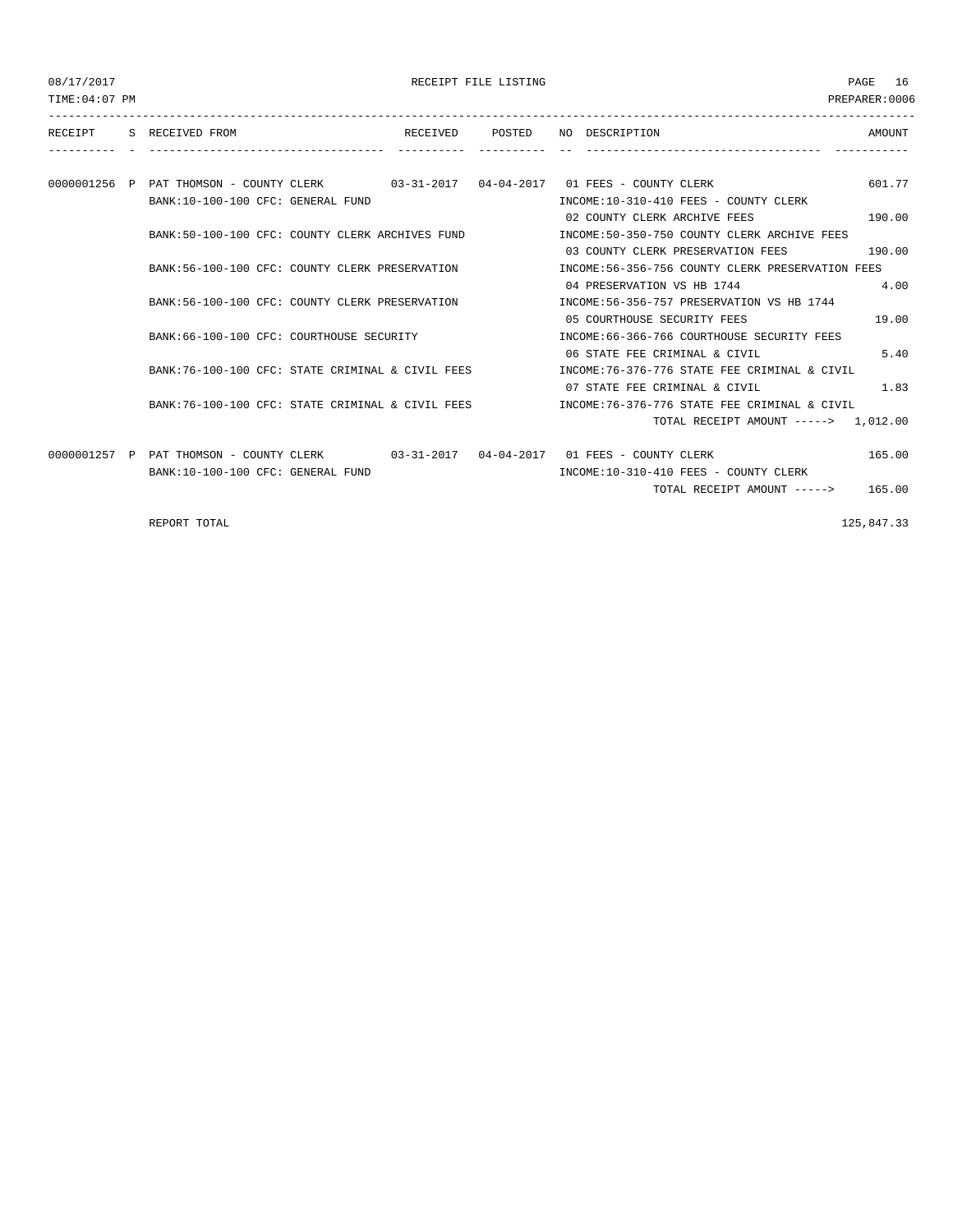RECEIPT FILE LISTING **EXECUTE:** 16 PAGE 16

TIME:04:07 PM PREPARER:0006 --------------------------------------------------------------------------------------------------------------------------------- RECEIPT S RECEIVED FROM THE RECEIVED POSTED NO DESCRIPTION SAMOUNT ---------- - ----------------------------------- ---------- ---------- -- ----------------------------------- ----------- 0000001256 P PAT THOMSON - COUNTY CLERK 03-31-2017 04-04-2017 01 FEES - COUNTY CLERK 601.77 BANK:10-100-100 CFC: GENERAL FUND INCOME:10-310-410 FEES - COUNTY CLERK 02 COUNTY CLERK ARCHIVE FEES 190.00 BANK:50-100-100 CFC: COUNTY CLERK ARCHIVES FUND INCOME:50-350-750 COUNTY CLERK ARCHIVE FEES 03 COUNTY CLERK PRESERVATION FEES 190.00 BANK:56-100-100 CFC: COUNTY CLERK PRESERVATION INCOME:56-356-756 COUNTY CLERK PRESERVATION FEES 04 PRESERVATION VS HB 1744 4.00 BANK:56-100-100 CFC: COUNTY CLERK PRESERVATION INCOME:56-356-757 PRESERVATION VS HB 1744 05 COURTHOUSE SECURITY FEES 19.00 BANK:66-100-100 CFC: COURTHOUSE SECURITY INCOME:66-366-766 COURTHOUSE SECURITY FEES 06 STATE FEE CRIMINAL & CIVIL 5.40 BANK:76-100-100 CFC: STATE CRIMINAL & CIVIL FEES INCOME:76-376-776 STATE FEE CRIMINAL & CIVIL 07 STATE FEE CRIMINAL & CIVIL 1.83 BANK:76-100-100 CFC: STATE CRIMINAL & CIVIL FEES INCOME:76-376-776 STATE FEE CRIMINAL & CIVIL TOTAL RECEIPT AMOUNT -----> 1,012.00 0000001257 P PAT THOMSON - COUNTY CLERK 03-31-2017 04-04-2017 01 FEES - COUNTY CLERK 165.00 BANK:10-100-100 CFC: GENERAL FUND INCOME:10-310-410 FEES - COUNTY CLERK TOTAL RECEIPT AMOUNT -----> 165.00

REPORT TOTAL 225,847.33